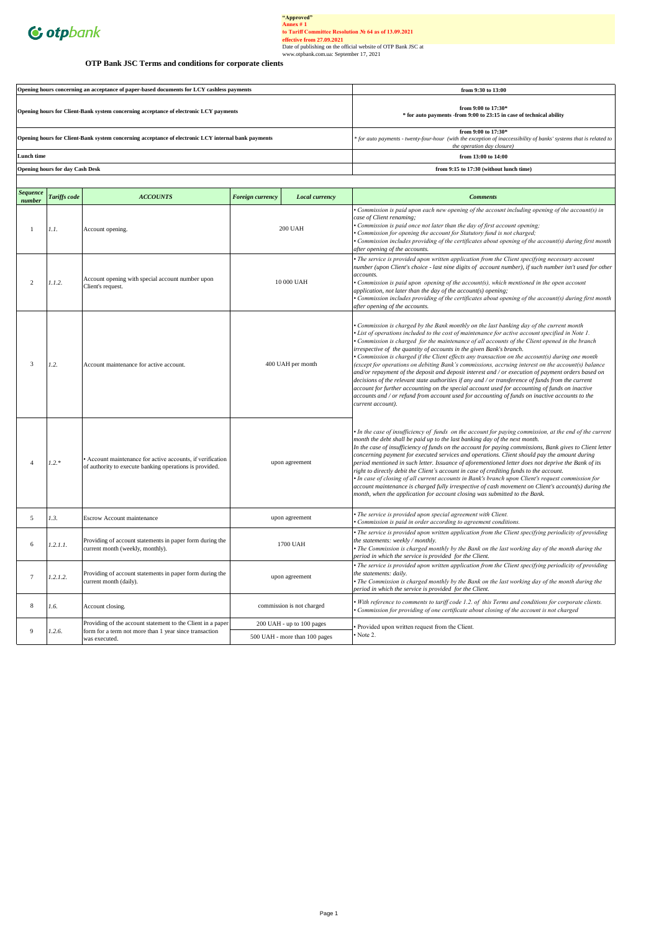

# "Approved"<br>
Annex # 1<br>
to Tariff Committee Resolution Ne 64 as of 13.09.2021<br>
effective from 27.09.2021<br>
Date of publishing on the official website of OTP Bank JSC at<br>
Date of publishing on the official website of OTP Ban

## **OTP Bank JSC Terms and conditions for corporate clients**

| Opening hours concerning an acceptance of paper-based documents for LCY cashless payments           | from 9:30 to 13:00                                                                                                                                                        |
|-----------------------------------------------------------------------------------------------------|---------------------------------------------------------------------------------------------------------------------------------------------------------------------------|
| Opening hours for Client-Bank system concerning acceptance of electronic LCY payments               | from 9:00 to $17:30*$<br>* for auto payments - from 9:00 to 23:15 in case of technical ability                                                                            |
| Opening hours for Client-Bank system concerning acceptance of electronic LCY internal bank payments | from 9:00 to $17:30*$<br>* for auto payments - twenty-four-hour (with the exception of inaccessibility of banks' systems that is related to<br>the operation day closure) |
| Lunch time                                                                                          | from $13:00$ to $14:00$                                                                                                                                                   |
| <b>Opening hours for day Cash Desk</b>                                                              | from 9:15 to 17:30 (without lunch time)                                                                                                                                   |

| <b>Sequence</b><br>number | <b>Tariffs</b> code | <b>ACCOUNTS</b>                                                                                                     | <b>Foreign currency</b> | Local currency                                                                                                                                                                                                                                                                                                                                                                                                                                  | <b>Comments</b>                                                                                                                                                                                                                                                                                                                                                                                                                                                                                                                                                                                                                                                                                                                                                                                                                                                                                                                                                                                                       |
|---------------------------|---------------------|---------------------------------------------------------------------------------------------------------------------|-------------------------|-------------------------------------------------------------------------------------------------------------------------------------------------------------------------------------------------------------------------------------------------------------------------------------------------------------------------------------------------------------------------------------------------------------------------------------------------|-----------------------------------------------------------------------------------------------------------------------------------------------------------------------------------------------------------------------------------------------------------------------------------------------------------------------------------------------------------------------------------------------------------------------------------------------------------------------------------------------------------------------------------------------------------------------------------------------------------------------------------------------------------------------------------------------------------------------------------------------------------------------------------------------------------------------------------------------------------------------------------------------------------------------------------------------------------------------------------------------------------------------|
| $\mathbf{1}$              | 1.1.                | Account opening.                                                                                                    |                         | Commission is paid upon each new opening of the account including opening of the account(s) in<br>case of Client renaming;<br>• Commission is paid once not later than the day of first account opening;<br><b>200 UAH</b><br>• Commission for opening the account for Statutory fund is not charged;<br>Commission includes providing of the certificates about opening of the account(s) during first month<br>after opening of the accounts. |                                                                                                                                                                                                                                                                                                                                                                                                                                                                                                                                                                                                                                                                                                                                                                                                                                                                                                                                                                                                                       |
| 2                         | 1.1.2.              | Account opening with special account number upon<br>Client's request.                                               | 10 000 UAH              |                                                                                                                                                                                                                                                                                                                                                                                                                                                 | • The service is provided upon written application from the Client specifying necessary account<br>number (upon Client's choice - last nine digits of account number), if such number isn't used for other<br>accounts.<br>• Commission is paid upon opening of the account(s), which mentioned in the open account<br>application, not later than the day of the account(s) opening;<br>• Commission includes providing of the certificates about opening of the account(s) during first month<br>after opening of the accounts.                                                                                                                                                                                                                                                                                                                                                                                                                                                                                     |
| 3                         | 1.2.                | Account maintenance for active account.                                                                             | 400 UAH per month       |                                                                                                                                                                                                                                                                                                                                                                                                                                                 | • Commission is charged by the Bank monthly on the last banking day of the current month<br>• List of operations included to the cost of maintenance for active account specified in Note 1.<br>• Commission is charged for the maintenance of all accounts of the Client opened in the branch<br>irrespective of the quantity of accounts in the given Bank's branch.<br>• Commission is charged if the Client effects any transaction on the account(s) during one month<br>(except for operations on debiting Bank's commissions, accruing interest on the account(s) balance<br>and/or repayment of the deposit and deposit interest and / or execution of payment orders based on<br>decisions of the relevant state authorities if any and / or transference of funds from the current<br>account for further accounting on the special account used for accounting of funds on inactive<br>accounts and / or refund from account used for accounting of funds on inactive accounts to the<br>current account). |
| $\overline{4}$            | $1.2.*$             | Account maintenance for active accounts, if verification<br>of authority to execute banking operations is provided. | upon agreement          |                                                                                                                                                                                                                                                                                                                                                                                                                                                 | • In the case of insufficiency of funds on the account for paying commission, at the end of the current<br>month the debt shall be paid up to the last banking day of the next month.<br>In the case of insufficiency of funds on the account for paying commissions, Bank gives to Client letter<br>concerning payment for executed services and operations. Client should pay the amount during<br>period mentioned in such letter. Issuance of aforementioned letter does not deprive the Bank of its<br>right to directly debit the Client's account in case of crediting funds to the account.<br>• In case of closing of all current accounts in Bank's branch upon Client's request commission for<br>account maintenance is charged fully irrespective of cash movement on Client's account(s) during the<br>month, when the application for account closing was submitted to the Bank.                                                                                                                       |
| 5                         | 1.3.                | Escrow Account maintenance                                                                                          |                         | upon agreement                                                                                                                                                                                                                                                                                                                                                                                                                                  | · The service is provided upon special agreement with Client.<br>Commission is paid in order according to agreement conditions.                                                                                                                                                                                                                                                                                                                                                                                                                                                                                                                                                                                                                                                                                                                                                                                                                                                                                       |
| 6                         | 1.2.1.1.            | Providing of account statements in paper form during the<br>current month (weekly, monthly).                        |                         | 1700 UAH                                                                                                                                                                                                                                                                                                                                                                                                                                        | • The service is provided upon written application from the Client specifying periodicity of providing<br>the statements: weekly / monthly.<br>• The Commission is charged monthly by the Bank on the last working day of the month during the<br>period in which the service is provided for the Client.                                                                                                                                                                                                                                                                                                                                                                                                                                                                                                                                                                                                                                                                                                             |
| $7\phantom{.0}$           | 1.2.1.2.            | Providing of account statements in paper form during the<br>current month (daily).                                  | upon agreement          |                                                                                                                                                                                                                                                                                                                                                                                                                                                 | • The service is provided upon written application from the Client specifying periodicity of providing<br>the statements: daily.<br>• The Commission is charged monthly by the Bank on the last working day of the month during the<br>period in which the service is provided for the Client.                                                                                                                                                                                                                                                                                                                                                                                                                                                                                                                                                                                                                                                                                                                        |
| 8                         | 1.6.                | Account closing.                                                                                                    |                         | commission is not charged                                                                                                                                                                                                                                                                                                                                                                                                                       | . With reference to comments to tariff code 1.2. of this Terms and conditions for corporate clients.<br>Commission for providing of one certificate about closing of the account is not charged                                                                                                                                                                                                                                                                                                                                                                                                                                                                                                                                                                                                                                                                                                                                                                                                                       |
|                           |                     | Providing of the account statement to the Client in a paper                                                         |                         | 200 UAH - up to 100 pages                                                                                                                                                                                                                                                                                                                                                                                                                       | Provided upon written request from the Client.                                                                                                                                                                                                                                                                                                                                                                                                                                                                                                                                                                                                                                                                                                                                                                                                                                                                                                                                                                        |
| 9                         | 1.2.6.              | form for a term not more than 1 year since transaction<br>was executed.                                             |                         | 500 UAH - more than 100 pages                                                                                                                                                                                                                                                                                                                                                                                                                   | Note 2.                                                                                                                                                                                                                                                                                                                                                                                                                                                                                                                                                                                                                                                                                                                                                                                                                                                                                                                                                                                                               |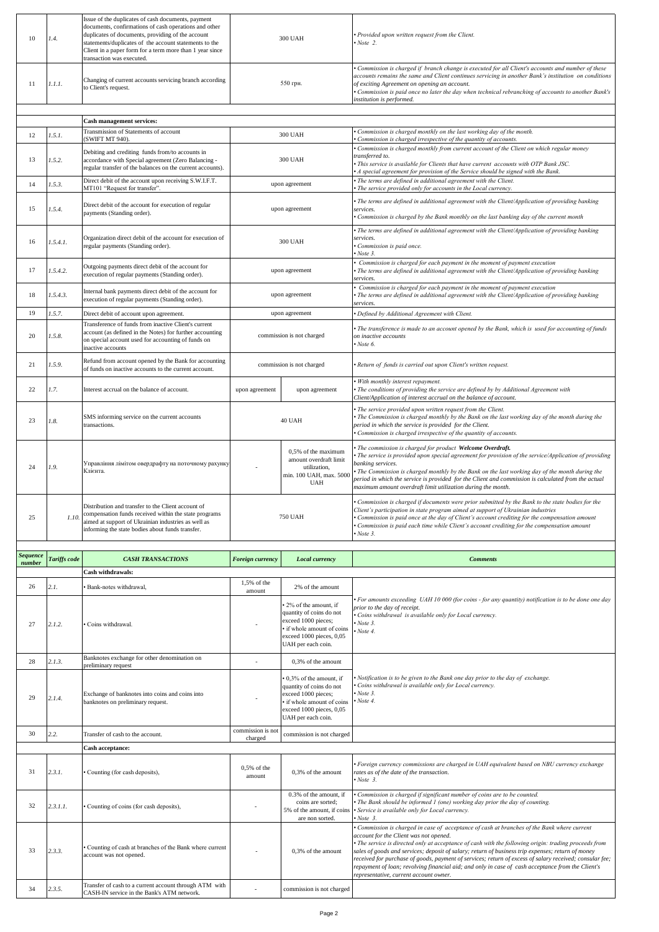| 10                        | 1.4.         | Issue of the duplicates of cash documents, payment<br>documents, confirmations of cash operations and other<br>duplicates of documents, providing of the account<br>statements/duplicates of the account statements to the<br>Client in a paper form for a term more than 1 year since<br>transaction was executed. |                       | <b>300 UAH</b>                                                                                                                                          | Provided upon written request from the Client.<br>Now 2.                                                                                                                                                                                                                                                                                                                                    |
|---------------------------|--------------|---------------------------------------------------------------------------------------------------------------------------------------------------------------------------------------------------------------------------------------------------------------------------------------------------------------------|-----------------------|---------------------------------------------------------------------------------------------------------------------------------------------------------|---------------------------------------------------------------------------------------------------------------------------------------------------------------------------------------------------------------------------------------------------------------------------------------------------------------------------------------------------------------------------------------------|
| 11                        | 1.1.1.       | Changing of current accounts servicing branch according<br>to Client's request.                                                                                                                                                                                                                                     |                       | 550 грн.                                                                                                                                                | Commission is charged if branch change is executed for all Client's accounts and number of these<br>accounts remains the same and Client continues servicing in another Bank's institution on conditions<br>of exciting Agreement on opening an account.<br>Commission is paid once no later the day when technical rebranching of accounts to another Bank's<br>institution is performed.  |
|                           |              |                                                                                                                                                                                                                                                                                                                     |                       |                                                                                                                                                         |                                                                                                                                                                                                                                                                                                                                                                                             |
|                           |              | Cash management services:<br>Transmission of Statements of account                                                                                                                                                                                                                                                  |                       |                                                                                                                                                         | Commission is charged monthly on the last working day of the month.                                                                                                                                                                                                                                                                                                                         |
| 12                        | 1.5.1.       | (SWIFT MT 940)                                                                                                                                                                                                                                                                                                      |                       | 300 UAH                                                                                                                                                 | Commission is charged irrespective of the quantity of accounts.                                                                                                                                                                                                                                                                                                                             |
| 13                        | 1.5.2.       | Debiting and crediting funds from/to accounts in<br>accordance with Special agreement (Zero Balancing -<br>regular transfer of the balances on the current accounts).                                                                                                                                               |                       | 300 UAH                                                                                                                                                 | Commission is charged monthly from current account of the Client on which regular money<br>transferred to.<br>This service is available for Clients that have current accounts with OTP Bank JSC.<br>A special agreement for provision of the Service should be signed with the Bank.                                                                                                       |
| 14                        | 1.5.3.       | Direct debit of the account upon receiving S.W.I.F.T.<br>MT101 "Request for transfer".                                                                                                                                                                                                                              |                       | upon agreement                                                                                                                                          | The terms are defined in additional agreement with the Client.<br>The service provided only for accounts in the Local currency.                                                                                                                                                                                                                                                             |
|                           |              |                                                                                                                                                                                                                                                                                                                     |                       |                                                                                                                                                         | • The terms are defined in additional agreement with the Client/Application of providing banking                                                                                                                                                                                                                                                                                            |
| 15                        | 1.5.4.       | Direct debit of the account for execution of regular<br>payments (Standing order).                                                                                                                                                                                                                                  |                       | upon agreement                                                                                                                                          | services.<br>Commission is charged by the Bank monthly on the last banking day of the current month<br>• The terms are defined in additional agreement with the Client/Application of providing banking                                                                                                                                                                                     |
| 16                        | 1.5.4.1.     | Organization direct debit of the account for execution of<br>regular payments (Standing order).                                                                                                                                                                                                                     |                       | 300 UAH                                                                                                                                                 | services.<br>Commission is paid once.<br>Note 3.                                                                                                                                                                                                                                                                                                                                            |
| 17                        | 1.5.4.2.     | Outgoing payments direct debit of the account for<br>execution of regular payments (Standing order).                                                                                                                                                                                                                |                       | upon agreement                                                                                                                                          | Commission is charged for each payment in the moment of payment execution<br>The terms are defined in additional agreement with the Client/Application of providing banking<br>ervices.                                                                                                                                                                                                     |
| 18                        | 1.5.4.3.     | Internal bank payments direct debit of the account for<br>execution of regular payments (Standing order).                                                                                                                                                                                                           |                       | upon agreement                                                                                                                                          | Commission is charged for each payment in the moment of payment execution<br>The terms are defined in additional agreement with the Client/Application of providing banking                                                                                                                                                                                                                 |
| 19                        | 1.5.7.       | Direct debit of account upon agreement.                                                                                                                                                                                                                                                                             |                       | upon agreement                                                                                                                                          | ervices.<br>Defined by Additional Agreement with Client.                                                                                                                                                                                                                                                                                                                                    |
|                           |              | Transference of funds from inactive Client's current                                                                                                                                                                                                                                                                |                       |                                                                                                                                                         |                                                                                                                                                                                                                                                                                                                                                                                             |
| 20                        | 1.5.8.       | account (as defined in the Notes) for further accounting<br>on special account used for accounting of funds on<br>inactive accounts                                                                                                                                                                                 |                       | commission is not charged                                                                                                                               | The transference is made to an account opened by the Bank, which is used for accounting of funds<br>on inactive accounts<br>Note 6.                                                                                                                                                                                                                                                         |
| 21                        | 1.5.9.       | Refund from account opened by the Bank for accounting<br>of funds on inactive accounts to the current account.                                                                                                                                                                                                      |                       | commission is not charged                                                                                                                               | Return of funds is carried out upon Client's written request.                                                                                                                                                                                                                                                                                                                               |
| 22                        | 1.7.         | Interest accrual on the balance of account.                                                                                                                                                                                                                                                                         | upon agreement        | upon agreement                                                                                                                                          | With monthly interest repayment.<br>The conditions of providing the service are defined by by Additional Agreement with<br>Client/Application of interest accrual on the balance of account.                                                                                                                                                                                                |
| 23                        | 1.8.         | SMS informing service on the current accounts<br>transactions.                                                                                                                                                                                                                                                      |                       | 40 UAH                                                                                                                                                  | The service provided upon written request from the Client.<br>The Commission is charged monthly by the Bank on the last working day of the month during the<br>period in which the service is provided for the Client.<br>Commission is charged irrespective of the quantity of accounts.                                                                                                   |
|                           |              | Управління лімітом овердрафту на поточному рахунку                                                                                                                                                                                                                                                                  |                       | 0.5% of the maximum<br>amount overdraft limit                                                                                                           | The commission is charged for product Welcome Overdraft.<br>The service is provided upon special agreement for provision of the service/Application of providing                                                                                                                                                                                                                            |
| 24                        | 1.9.         | Клієнта.                                                                                                                                                                                                                                                                                                            |                       | utilization,<br>min. 100 UAH, max. 5000<br>UAH                                                                                                          | banking services.<br>The Commission is charged monthly by the Bank on the last working day of the month during the<br>period in which the service is provided for the Client and commission is calculated from the actual<br>maximum amount overdraft limit utilization during the month.                                                                                                   |
| 25                        | 1.10.        | Distribution and transfer to the Client account of<br>compensation funds received within the state programs<br>aimed at support of Ukrainian industries as well as<br>informing the state bodies about funds transfer.                                                                                              |                       | <b>750 UAH</b>                                                                                                                                          | Commission is charged if documents were prior submitted by the Bank to the state bodies for the<br>Client's participation in state program aimed at support of Ukrainian industries<br>Commission is paid once at the day of Client's account crediting for the compensation amount<br>Commission is paid each time while Client's account crediting for the compensation amount<br>Note 3. |
|                           |              |                                                                                                                                                                                                                                                                                                                     |                       |                                                                                                                                                         |                                                                                                                                                                                                                                                                                                                                                                                             |
| <b>Sequence</b><br>number | Tariffs code | <b>CASH TRANSACTIONS</b>                                                                                                                                                                                                                                                                                            | Foreign currency      | Local currency                                                                                                                                          | <b>Comments</b>                                                                                                                                                                                                                                                                                                                                                                             |
|                           |              | <b>Cash withdrawals:</b>                                                                                                                                                                                                                                                                                            |                       |                                                                                                                                                         |                                                                                                                                                                                                                                                                                                                                                                                             |
| 26                        | 2.1.         | Bank-notes withdrawal,                                                                                                                                                                                                                                                                                              | 1,5% of the<br>amount | 2% of the amount                                                                                                                                        |                                                                                                                                                                                                                                                                                                                                                                                             |
| 27                        | 2.1.2.       | Coins withdrawal.                                                                                                                                                                                                                                                                                                   |                       | 2% of the amount, if<br>quantity of coins do not<br>exceed 1000 pieces;<br>if whole amount of coins<br>exceed 1000 pieces, 0,05<br>UAH per each coin.   | For amounts exceeding UAH 10 000 (for coins - for any quantity) notification is to be done one day<br>prior to the day of receipt.<br>Coins withdrawal is available only for Local currency.<br>Note 3.<br>Now                                                                                                                                                                              |
| 28                        | 2.1.3.       | Banknotes exchange for other denomination on                                                                                                                                                                                                                                                                        |                       | 0,3% of the amount                                                                                                                                      |                                                                                                                                                                                                                                                                                                                                                                                             |
| 29                        | 2.1.4.       | preliminary request<br>Exchange of banknotes into coins and coins into<br>banknotes on preliminary request.                                                                                                                                                                                                         |                       | 0,3% of the amount, if<br>quantity of coins do not<br>exceed 1000 pieces;<br>if whole amount of coins<br>exceed 1000 pieces, 0,05<br>UAH per each coin. | Notification is to be given to the Bank one day prior to the day of exchange.<br>Coins withdrawal is available only for Local currency.<br>Note 3.<br>Note 4.                                                                                                                                                                                                                               |
| 30                        | 2.2.         | Transfer of cash to the account.                                                                                                                                                                                                                                                                                    | commission is not     | commission is not charged                                                                                                                               |                                                                                                                                                                                                                                                                                                                                                                                             |
|                           |              | Cash acceptance:                                                                                                                                                                                                                                                                                                    | charged               |                                                                                                                                                         |                                                                                                                                                                                                                                                                                                                                                                                             |
| 31                        | 2.3.1.       | Counting (for cash deposits),                                                                                                                                                                                                                                                                                       | 0,5% of the<br>amount | 0,3% of the amount                                                                                                                                      | Foreign currency commissions are charged in UAH equivalent based on NBU currency exchange<br>rates as of the date of the transaction.<br>$\cdot$ Note 3.                                                                                                                                                                                                                                    |
| 32                        | 2.3.1.1.     | Counting of coins (for cash deposits),                                                                                                                                                                                                                                                                              |                       | 0.3% of the amount, if<br>coins are sorted;<br>5% of the amount, if coins<br>are non sorted.                                                            | Commission is charged if significant number of coins are to be counted.<br>The Bank should be informed 1 (one) working day prior the day of counting.<br>Service is available only for Local currency.<br>$\cdot$ Note 3.                                                                                                                                                                   |

*representative, current account owner.*

34 **2.3.5.** Transfer of cash to a current account through ATM with **CASH-IN service in the Bank's ATM network.** CASH-IN service in the Bank's ATM network.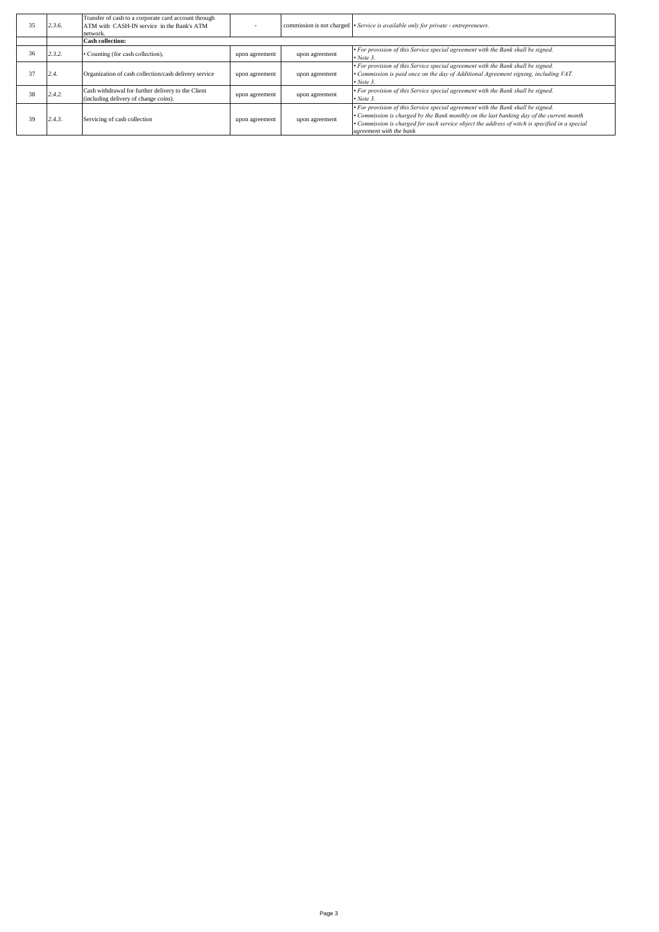| 35 | 2.3.6. | Transfer of cash to a corporate card account through<br>ATM with CASH-IN service in the Bank's ATM<br>network. |                |                | commission is not charged • Service is available only for private - entrepreneurs.                                                                                                                                                                                                                        |
|----|--------|----------------------------------------------------------------------------------------------------------------|----------------|----------------|-----------------------------------------------------------------------------------------------------------------------------------------------------------------------------------------------------------------------------------------------------------------------------------------------------------|
|    |        | <b>Cash collection:</b>                                                                                        |                |                |                                                                                                                                                                                                                                                                                                           |
| 36 | 2.3.2. | • Counting (for cash collection),                                                                              | upon agreement | upon agreement | • For provision of this Service special agreement with the Bank shall be signed.<br>$\bullet$ Note 3.                                                                                                                                                                                                     |
| 37 | 2.4.   | Organization of cash collection/cash delivery service                                                          | upon agreement | upon agreement | • For provision of this Service special agreement with the Bank shall be signed.<br>• Commission is paid once on the day of Additional Agreement signing, including VAT.<br>$\bullet$ Note 3.                                                                                                             |
| 38 | 2.4.2. | Cash withdrawal for further delivery to the Client<br>(including delivery of change coins).                    | upon agreement | upon agreement | • For provision of this Service special agreement with the Bank shall be signed.<br>$\bullet$ Note 3.                                                                                                                                                                                                     |
| 39 | 2.4.3. | Servicing of cash collection                                                                                   | upon agreement | upon agreement | • For provision of this Service special agreement with the Bank shall be signed.<br>• Commission is charged by the Bank monthly on the last banking day of the current month<br>• Commission is charged for each service object the address of witch is specified in a special<br>agreement with the bank |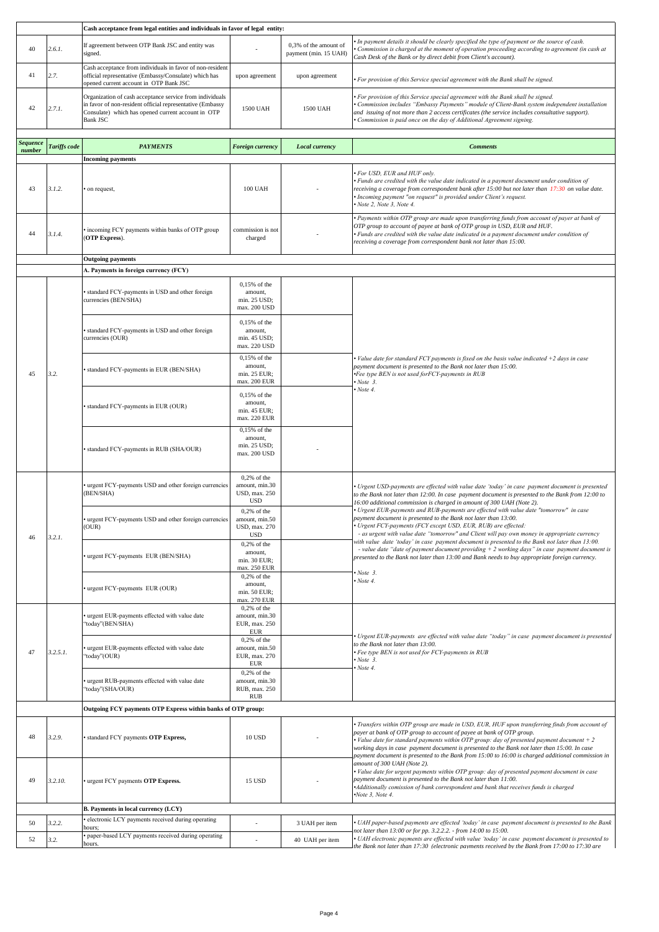|                 |              | Cash acceptance from legal entities and individuals in favor of legal entity:                                                                                                                  |                                                                           |                                                |                                                                                                                                                                                                                                                                                                                                                                                                                                                                            |
|-----------------|--------------|------------------------------------------------------------------------------------------------------------------------------------------------------------------------------------------------|---------------------------------------------------------------------------|------------------------------------------------|----------------------------------------------------------------------------------------------------------------------------------------------------------------------------------------------------------------------------------------------------------------------------------------------------------------------------------------------------------------------------------------------------------------------------------------------------------------------------|
| 40              | 2.6.1.       | If agreement between OTP Bank JSC and entity was<br>signed.                                                                                                                                    |                                                                           | 0,3% of the amount of<br>payment (min. 15 UAH) | In payment details it should be clearly specified the type of payment or the source of cash.<br>Commission is charged at the moment of operation proceeding according to agreement (in cash at<br>Cash Desk of the Bank or by direct debit from Client's account).                                                                                                                                                                                                         |
| 41              | 2.7.         | Cash acceptance from individuals in favor of non-resident<br>official representative (Embassy/Consulate) which has<br>opened current account in OTP Bank JSC                                   | upon agreement                                                            | upon agreement                                 | For provision of this Service special agreement with the Bank shall be signed.                                                                                                                                                                                                                                                                                                                                                                                             |
| 42              | 2.7.1.       | Organization of cash acceptance service from individuals<br>in favor of non-resident official representative (Embassy<br>Consulate) which has opened current account in OTP<br><b>Bank JSC</b> | 1500 UAH                                                                  | 1500 UAH                                       | For provision of this Service special agreement with the Bank shall be signed.<br>Commission includes "Embassy Payments" module of Client-Bank system independent installation<br>and issuing of not more than 2 access certificates (the service includes consultative support).<br>Commission is paid once on the day of Additional Agreement signing.                                                                                                                   |
| <b>Sequence</b> | Tariffs code | <b>PAYMENTS</b>                                                                                                                                                                                | Foreign currency                                                          | Local currency                                 | <b>Comments</b>                                                                                                                                                                                                                                                                                                                                                                                                                                                            |
| number          |              | <b>Incoming payments</b>                                                                                                                                                                       |                                                                           |                                                |                                                                                                                                                                                                                                                                                                                                                                                                                                                                            |
| 43              | 3.1.2.       | on request,                                                                                                                                                                                    | <b>100 UAH</b>                                                            |                                                | · For USD, EUR and HUF only.<br>• Funds are credited with the value date indicated in a payment document under condition of<br>receiving a coverage from correspondent bank after 15:00 but not later than 17:30 on value date.<br>Incoming payment "on request" is provided under Client's request.<br>Note 2, Note 3, Note 4.                                                                                                                                            |
| 44              | 3.1.4.       | incoming FCY payments within banks of OTP group<br>(OTP Express).                                                                                                                              | commission is not<br>charged                                              |                                                | • Payments within OTP group are made upon transferring funds from account of payer at bank of<br>OTP group to account of payee at bank of OTP group in USD, EUR and HUF.<br>• Funds are credited with the value date indicated in a payment document under condition of<br>receiving a coverage from correspondent bank not later than 15:00.                                                                                                                              |
|                 |              | <b>Outgoing payments</b>                                                                                                                                                                       |                                                                           |                                                |                                                                                                                                                                                                                                                                                                                                                                                                                                                                            |
|                 |              | A. Payments in foreign currency (FCY)                                                                                                                                                          |                                                                           |                                                |                                                                                                                                                                                                                                                                                                                                                                                                                                                                            |
|                 |              | standard FCY-payments in USD and other foreign<br>currencies (BEN/SHA)                                                                                                                         | 0,15% of the<br>amount.<br>min. 25 USD;<br>max. 200 USD                   |                                                |                                                                                                                                                                                                                                                                                                                                                                                                                                                                            |
|                 |              | standard FCY-payments in USD and other foreign<br>currencies (OUR)                                                                                                                             | 0,15% of the<br>amount,<br>min. 45 USD;<br>max. 220 USD                   |                                                |                                                                                                                                                                                                                                                                                                                                                                                                                                                                            |
| 45              | 3.2.         | standard FCY-payments in EUR (BEN/SHA)                                                                                                                                                         | 0,15% of the<br>amount,<br>min. 25 EUR;<br>max. 200 EUR                   |                                                | • Value date for standard FCY payments is fixed on the basis value indicated +2 days in case<br>payment document is presented to the Bank not later than 15:00.<br>Fee type BEN is not used forFCY-payments in RUB<br>$\cdot$ Note 3.                                                                                                                                                                                                                                      |
|                 |              | standard FCY-payments in EUR (OUR)                                                                                                                                                             | $0,15%$ of the<br>amount,<br>min. 45 EUR;<br>max. 220 EUR                 |                                                | $\cdot$ Note 4.                                                                                                                                                                                                                                                                                                                                                                                                                                                            |
|                 |              | standard FCY-payments in RUB (SHA/OUR)                                                                                                                                                         | 0,15% of the<br>amount,<br>min. 25 USD;<br>max. 200 USD                   |                                                |                                                                                                                                                                                                                                                                                                                                                                                                                                                                            |
|                 |              | urgent FCY-payments USD and other foreign currencies<br>(BEN/SHA)                                                                                                                              | $0,2%$ of the<br>amount, min.30<br>USD, max. 250<br><b>USD</b>            |                                                | · Urgent USD-payments are effected with value date 'today' in case payment document is presented<br>to the Bank not later than 12:00. In case payment document is presented to the Bank from 12:00 to<br>16:00 additional commission is charged in amount of 300 UAH (Note 2).                                                                                                                                                                                             |
| 46              | 3.2.1.       | urgent FCY-payments USD and other foreign currencies<br>(OUR)                                                                                                                                  | $0,2%$ of the<br>amount, min.50<br>USD, max. 270<br><b>USD</b>            |                                                | · Urgent EUR-payments and RUB-payments are effected with value date "tomorrow" in case<br>payment document is presented to the Bank not later than 13:00.<br>Urgent FCY-payments (FCY except USD, EUR, RUB) are effected:<br>- as urgent with value date "tomorrow" and Client will pay own money in appropriate currency<br>with value date 'today' in case payment document is presented to the Bank not later than 13:00.                                               |
|                 |              | urgent FCY-payments EUR (BEN/SHA)                                                                                                                                                              | $0,2%$ of the<br>amount,<br>min. 30 EUR;<br>max. 250 EUR<br>$0,2%$ of the |                                                | - value date "date of payment document providing $+2$ working days" in case payment document is<br>presented to the Bank not later than 13:00 and Bank needs to buy appropriate foreign currency.<br>$\cdot$ Note 3.                                                                                                                                                                                                                                                       |
|                 |              | urgent FCY-payments EUR (OUR)                                                                                                                                                                  | amount.<br>min. 50 EUR;<br>max. 270 EUR                                   |                                                | $\cdot$ Note 4.                                                                                                                                                                                                                                                                                                                                                                                                                                                            |
|                 |              | urgent EUR-payments effected with value date<br>'today"(BEN/SHA)                                                                                                                               | $0.2%$ of the<br>amount, min.30<br>EUR, max. 250<br><b>EUR</b>            |                                                | Urgent EUR-payments are effected with value date "today" in case payment document is presented                                                                                                                                                                                                                                                                                                                                                                             |
| 47              | $3.2.5.1$ .  | urgent EUR-payments effected with value date<br>'today''(OUR)                                                                                                                                  | $0,2%$ of the<br>amount, min.50<br>EUR, max. 270<br><b>EUR</b>            |                                                | to the Bank not later than 13:00.<br>· Fee type BEN is not used for FCY-payments in RUB<br>$\cdot$ Note 3.<br>• Note 4.                                                                                                                                                                                                                                                                                                                                                    |
|                 |              | urgent RUB-payments effected with value date<br>'today"(SHA/OUR)                                                                                                                               | $0,2%$ of the<br>amount, min.30<br>RUB, max. 250<br><b>RUB</b>            |                                                |                                                                                                                                                                                                                                                                                                                                                                                                                                                                            |
|                 |              | Outgoing FCY payments OTP Express within banks of OTP group:                                                                                                                                   |                                                                           |                                                |                                                                                                                                                                                                                                                                                                                                                                                                                                                                            |
| 48              | 3.2.9.       | standard FCY payments OTP Express,                                                                                                                                                             | <b>10 USD</b>                                                             |                                                | · Transfers within OTP group are made in USD, EUR, HUF upon transferring finds from account of<br>payer at bank of OTP group to account of payee at bank of OTP group.<br>• Value date for standard payments within OTP group: day of presented payment document $+2$<br>working days in case payment document is presented to the Bank not later than 15:00. In case<br>payment document is presented to the Bank from 15:00 to 16:00 is charged additional commission in |
| 49              | 3.2.10.      | urgent FCY payments OTP Express.                                                                                                                                                               | 15 USD                                                                    |                                                | amount of 300 UAH (Note 2).<br>· Value date for urgent payments within OTP group: day of presented payment document in case<br>payment document is presented to the Bank not later than 11:00.<br>Additionally comission of bank correspondent and bank that receives funds is charged<br>$\cdot$ Note 3, Note 4.                                                                                                                                                          |
|                 |              | B. Payments in local currency (LCY)                                                                                                                                                            |                                                                           |                                                |                                                                                                                                                                                                                                                                                                                                                                                                                                                                            |
| 50              | 3.2.2.       | electronic LCY payments received during operating<br>hours;                                                                                                                                    |                                                                           | 3 UAH per item                                 | • UAH paper-based payments are effected 'today' in case payment document is presented to the Bank                                                                                                                                                                                                                                                                                                                                                                          |
| 52              | 3.2.         | paper-based LCY payments received during operating<br>hours.                                                                                                                                   | ÷,                                                                        | 40 UAH per item                                | not later than 13:00 or for pp. 3.2.2.2. - from 14:00 to 15:00.<br>• UAH electronic payments are effected with value 'today' in case payment document is presented to<br>the Bank not later than 17:30 (electronic payments received by the Bank from 17:00 to 17:30 are                                                                                                                                                                                                   |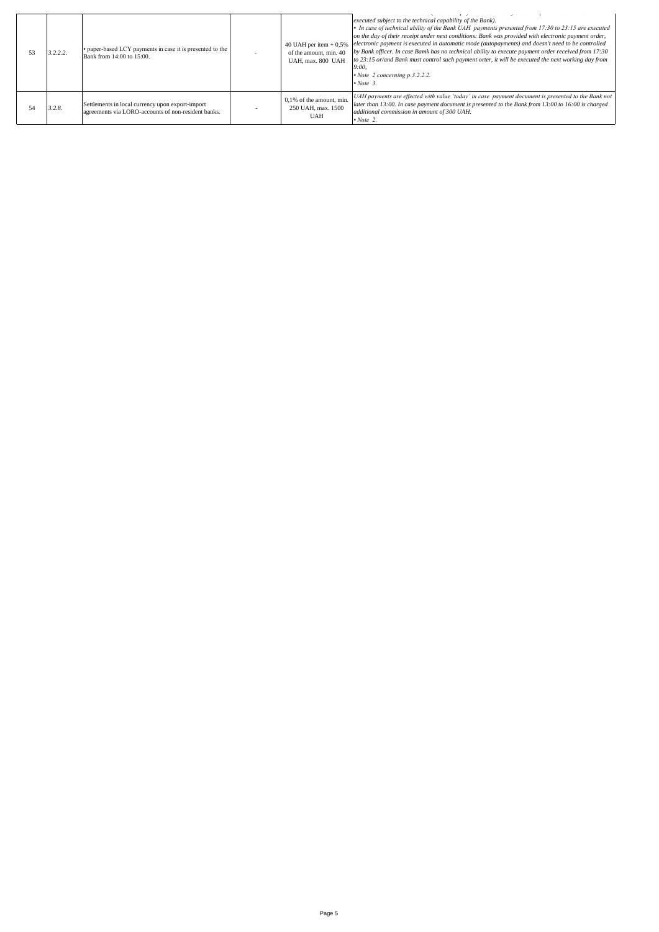| 3.2.2.2. | • paper-based LCY payments in case it is presented to the<br>Bank from 14:00 to 15:00.                  | 40 UAH per item $+0.5%$<br>of the amount, min. 40<br>UAH, max. 800 UAH | executed subject to the technical capability of the Bank).<br>• In case of technical ability of the Bank UAH payments presented from 17:30 to 23:15 are executed<br>on the day of their receipt under next conditions: Bank was provided with electronic payment order,<br>electronic payment is executed in automatic mode (autopayments) and doesn't need to be controlled<br>by Bank officer. In case Bamk has no technical ability to execute payment order received from 17:30<br>to 23:15 or/and Bank must control such payment orter, it will be executed the next working day from<br>9:00.<br>$\cdot$ Note 2 concerning p.3.2.2.2.<br>$\cdot$ Note 3. |
|----------|---------------------------------------------------------------------------------------------------------|------------------------------------------------------------------------|----------------------------------------------------------------------------------------------------------------------------------------------------------------------------------------------------------------------------------------------------------------------------------------------------------------------------------------------------------------------------------------------------------------------------------------------------------------------------------------------------------------------------------------------------------------------------------------------------------------------------------------------------------------|
| 3.2.8.   | Settlements in local currency upon export-import<br>agreements via LORO-accounts of non-resident banks. | $0,1%$ of the amount, min.<br>250 UAH, max. 1500<br><b>UAH</b>         | UAH payments are effected with value 'today' in case payment document is presented to the Bank not<br>later than 13:00. In case payment document is presented to the Bank from 13:00 to 16:00 is charged<br>additional commission in amount of 300 UAH.<br>$\cdot$ Note 2.                                                                                                                                                                                                                                                                                                                                                                                     |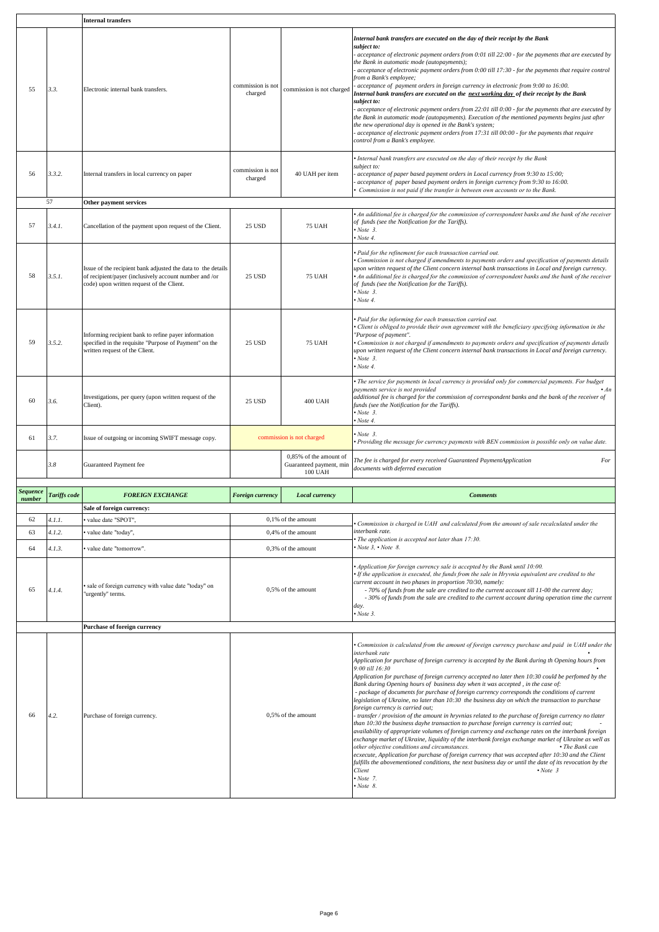|                 |              | <b>Internal transfers</b>                                                                                                                                           |                              |                                                              |                                                                                                                                                                                                                                                                                                                                                                                                                                                                                                                                                                                                                                                                                                                                                                                                                                                                                                                                                                                                                                                                                                                                                                                                                                                                                                                                                                                                                                                           |  |
|-----------------|--------------|---------------------------------------------------------------------------------------------------------------------------------------------------------------------|------------------------------|--------------------------------------------------------------|-----------------------------------------------------------------------------------------------------------------------------------------------------------------------------------------------------------------------------------------------------------------------------------------------------------------------------------------------------------------------------------------------------------------------------------------------------------------------------------------------------------------------------------------------------------------------------------------------------------------------------------------------------------------------------------------------------------------------------------------------------------------------------------------------------------------------------------------------------------------------------------------------------------------------------------------------------------------------------------------------------------------------------------------------------------------------------------------------------------------------------------------------------------------------------------------------------------------------------------------------------------------------------------------------------------------------------------------------------------------------------------------------------------------------------------------------------------|--|
| 55              | 3.3.         | Electronic internal bank transfers.                                                                                                                                 | commission is not<br>charged | commission is not charged                                    | Internal bank transfers are executed on the day of their receipt by the Bank<br>subiect to:<br>acceptance of electronic payment orders from 0:01 till 22:00 - for the payments that are executed by<br>the Bank in automatic mode (autopayments);<br>acceptance of electronic payment orders from 0:00 till 17:30 - for the payments that require control<br>from a Bank's employee;<br>acceptance of payment orders in foreign currency in electronic from 9:00 to 16:00.<br>Internal bank transfers are executed on the next working day of their receipt by the Bank<br>subject to:<br>acceptance of electronic payment orders from 22:01 till 0:00 - for the payments that are executed by<br>the Bank in automatic mode (autopayments). Execution of the mentioned payments begins just after<br>the new operational day is opened in the Bank's system;<br>acceptance of electronic payment orders from 17:31 till 00:00 - for the payments that require<br>control from a Bank's employee.                                                                                                                                                                                                                                                                                                                                                                                                                                                         |  |
| 56              | 3.3.2.       | Internal transfers in local currency on paper                                                                                                                       | commission is not<br>charged | 40 UAH per item                                              | Internal bank transfers are executed on the day of their receipt by the Bank<br>ubject to:<br>acceptance of paper based payment orders in Local currency from 9:30 to 15:00;<br>acceptance of paper based payment orders in foreign currency from 9:30 to 16:00.<br>Commission is not paid if the transfer is between own accounts or to the Bank.                                                                                                                                                                                                                                                                                                                                                                                                                                                                                                                                                                                                                                                                                                                                                                                                                                                                                                                                                                                                                                                                                                        |  |
|                 | 57           | Other payment services                                                                                                                                              |                              |                                                              |                                                                                                                                                                                                                                                                                                                                                                                                                                                                                                                                                                                                                                                                                                                                                                                                                                                                                                                                                                                                                                                                                                                                                                                                                                                                                                                                                                                                                                                           |  |
| 57              | 3.4.1.       | Cancellation of the payment upon request of the Client.                                                                                                             | 25 USD                       | <b>75 UAH</b>                                                | An additional fee is charged for the commission of correspondent banks and the bank of the receiver<br>of funds (see the Notification for the Tariffs).<br>$\cdot$ Note 3.<br>Note 4.                                                                                                                                                                                                                                                                                                                                                                                                                                                                                                                                                                                                                                                                                                                                                                                                                                                                                                                                                                                                                                                                                                                                                                                                                                                                     |  |
| 58              | 3.5.1.       | Issue of the recipient bank adjusted the data to the details<br>of recipient/payer (inclusively account number and /or<br>code) upon written request of the Client. | 25 USD                       | <b>75 UAH</b>                                                | · Paid for the refinement for each transaction carried out.<br>Commission is not charged if amendments to payments orders and specification of payments details<br>upon written request of the Client concern internal bank transactions in Local and foreign currency.<br>An additional fee is charged for the commission of correspondent banks and the bank of the receiver<br>of funds (see the Notification for the Tariffs).<br>$\cdot$ Note 3.<br>Note 4.                                                                                                                                                                                                                                                                                                                                                                                                                                                                                                                                                                                                                                                                                                                                                                                                                                                                                                                                                                                          |  |
| 59              | 3.5.2.       | Informing recipient bank to refine payer information<br>specified in the requisite "Purpose of Payment" on the<br>written request of the Client.                    | 25 USD                       | <b>75 UAH</b>                                                | Paid for the informing for each transaction carried out.<br>Client is obliged to provide their own agreement with the beneficiary specifying information in the<br>"Purpose of payment".<br>Commission is not charged if amendments to payments orders and specification of payments details<br>upon written request of the Client concern internal bank transactions in Local and foreign currency.<br>$\cdot$ Note 3.<br>Note 4.                                                                                                                                                                                                                                                                                                                                                                                                                                                                                                                                                                                                                                                                                                                                                                                                                                                                                                                                                                                                                        |  |
| 60              | 3.6.         | Investigations, per query (upon written request of the<br>Client).                                                                                                  | 25 USD                       | <b>400 UAH</b>                                               | The service for payments in local currency is provided only for commercial payments. For budget<br>payments service is not provided<br>$\cdot$ An<br>additional fee is charged for the commission of correspondent banks and the bank of the receiver of<br>funds (see the Notification for the Tariffs).<br>Note 3.<br>Note 4.                                                                                                                                                                                                                                                                                                                                                                                                                                                                                                                                                                                                                                                                                                                                                                                                                                                                                                                                                                                                                                                                                                                           |  |
| 61              | 3.7.         | Issue of outgoing or incoming SWIFT message copy.                                                                                                                   |                              | commission is not charged                                    | Note 3.<br>Providing the message for currency payments with BEN commission is possible only on value date.                                                                                                                                                                                                                                                                                                                                                                                                                                                                                                                                                                                                                                                                                                                                                                                                                                                                                                                                                                                                                                                                                                                                                                                                                                                                                                                                                |  |
|                 | 3.8          | Guaranteed Payment fee                                                                                                                                              |                              | 0.85% of the amount of<br>Guaranteed payment, min<br>100 UAH | The fee is charged for every received Guaranteed PaymentApplication<br>For<br>documents with deferred execution                                                                                                                                                                                                                                                                                                                                                                                                                                                                                                                                                                                                                                                                                                                                                                                                                                                                                                                                                                                                                                                                                                                                                                                                                                                                                                                                           |  |
| <b>Sequence</b> |              |                                                                                                                                                                     |                              |                                                              |                                                                                                                                                                                                                                                                                                                                                                                                                                                                                                                                                                                                                                                                                                                                                                                                                                                                                                                                                                                                                                                                                                                                                                                                                                                                                                                                                                                                                                                           |  |
| number          | Tariffs code | <b>FOREIGN EXCHANGE</b>                                                                                                                                             | <b>Foreign currency</b>      | Local currency                                               | <b>Comments</b>                                                                                                                                                                                                                                                                                                                                                                                                                                                                                                                                                                                                                                                                                                                                                                                                                                                                                                                                                                                                                                                                                                                                                                                                                                                                                                                                                                                                                                           |  |
|                 |              | Sale of foreign currency:                                                                                                                                           |                              |                                                              |                                                                                                                                                                                                                                                                                                                                                                                                                                                                                                                                                                                                                                                                                                                                                                                                                                                                                                                                                                                                                                                                                                                                                                                                                                                                                                                                                                                                                                                           |  |
| 62              | 4.1.1.       | value date "SPOT",                                                                                                                                                  |                              | 0,1% of the amount                                           | Commission is charged in UAH and calculated from the amount of sale recalculated under the                                                                                                                                                                                                                                                                                                                                                                                                                                                                                                                                                                                                                                                                                                                                                                                                                                                                                                                                                                                                                                                                                                                                                                                                                                                                                                                                                                |  |
| 63              | 4.1.2.       | value date "today",                                                                                                                                                 |                              | 0,4% of the amount                                           | interbank rate.                                                                                                                                                                                                                                                                                                                                                                                                                                                                                                                                                                                                                                                                                                                                                                                                                                                                                                                                                                                                                                                                                                                                                                                                                                                                                                                                                                                                                                           |  |
| 64              | 4.1.3.       |                                                                                                                                                                     |                              | 0.3% of the amount                                           | The application is accepted not later than 17:30.<br>$\cdot$ Note 3, $\cdot$ Note 8.                                                                                                                                                                                                                                                                                                                                                                                                                                                                                                                                                                                                                                                                                                                                                                                                                                                                                                                                                                                                                                                                                                                                                                                                                                                                                                                                                                      |  |
|                 |              | value date "tomorrow".                                                                                                                                              |                              |                                                              |                                                                                                                                                                                                                                                                                                                                                                                                                                                                                                                                                                                                                                                                                                                                                                                                                                                                                                                                                                                                                                                                                                                                                                                                                                                                                                                                                                                                                                                           |  |
| 65              | 4.1.4.       | sale of foreign currency with value date "today" on<br>'urgently" terms.                                                                                            | 0,5% of the amount           |                                                              | Application for foreign currency sale is accepted by the Bank until 10:00.<br>If the application is executed, the funds from the sale in Hryvnia equivalent are credited to the<br>current account in two phases in proportion 70/30, namely:<br>- 70% of funds from the sale are credited to the current account till 11-00 the current day;<br>- 30% of funds from the sale are credited to the current account during operation time the current<br>day.<br>$\cdot$ Note 3.                                                                                                                                                                                                                                                                                                                                                                                                                                                                                                                                                                                                                                                                                                                                                                                                                                                                                                                                                                            |  |
|                 |              | Purchase of foreign currency                                                                                                                                        |                              |                                                              |                                                                                                                                                                                                                                                                                                                                                                                                                                                                                                                                                                                                                                                                                                                                                                                                                                                                                                                                                                                                                                                                                                                                                                                                                                                                                                                                                                                                                                                           |  |
| 66              | 4.2.         | Purchase of foreign currency.                                                                                                                                       | 0,5% of the amount           |                                                              | • Commission is calculated from the amount of foreign currency purchase and paid in UAH under the<br>interbank rate<br>Application for purchase of foreign currency is accepted by the Bank during th Opening hours from<br>9:00 till 16:30<br>Application for purchase of foreign currency accepted no later then 10:30 could be perfomed by the<br>Bank during Opening hours of business day when it was accepted, in the case of:<br>- package of documents for purchase of foreign currency corresponds the conditions of current<br>legislation of Ukraine, no later than 10:30 the business day on which the transaction to purchase<br>foreign currency is carried out;<br>- transfer / provision of the amount in hryvnias related to the purchase of foreign currency no tlater<br>than 10:30 the business dayhe transaction to purchase foreign currency is carried out;<br>availability of appropriate volumes of foreign currency and exchange rates on the interbank foreign<br>exchange market of Ukraine, liquidity of the interbank foreign exchange market of Ukraine as well as<br>other objective conditions and circumstances.<br>• The Bank can<br>ecxecute, Application for purchase of foreign currency that was accepted after 10:30 and the Client<br>fulfills the abovementioned conditions, the next business day or until the date of its revocation by the<br>Client<br>$\cdot$ Note 3<br>$\cdot$ Note 7.<br>$\cdot$ Note 8. |  |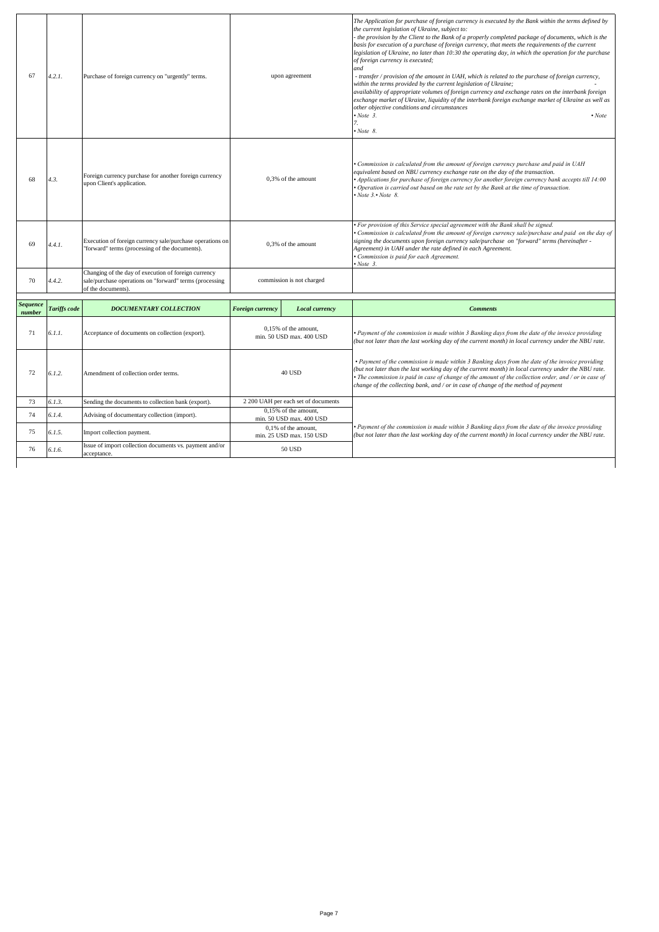| 67                        | 4.2.1.       | Purchase of foreign currency on "urgently" terms.                                                                                     | upon agreement          |                                                  | The Application for purchase of foreign currency is executed by the Bank within the terms defined by<br>the current legislation of Ukraine, subject to:<br>- the provision by the Client to the Bank of a properly completed package of documents, which is the<br>basis for execution of a purchase of foreign currency, that meets the requirements of the current<br>legislation of Ukraine, no later than 10:30 the operating day, in which the operation for the purchase<br>of foreign currency is executed;<br>and<br>- transfer / provision of the amount in UAH, which is related to the purchase of foreign currency,<br>within the terms provided by the current legislation of Ukraine;<br>availability of appropriate volumes of foreign currency and exchange rates on the interbank foreign<br>exchange market of Ukraine, liquidity of the interbank foreign exchange market of Ukraine as well as<br>other objective conditions and circumstances<br>$\cdot$ Note 3.<br>$\cdot$ Note<br>7.<br>$\cdot$ Note 8. |
|---------------------------|--------------|---------------------------------------------------------------------------------------------------------------------------------------|-------------------------|--------------------------------------------------|--------------------------------------------------------------------------------------------------------------------------------------------------------------------------------------------------------------------------------------------------------------------------------------------------------------------------------------------------------------------------------------------------------------------------------------------------------------------------------------------------------------------------------------------------------------------------------------------------------------------------------------------------------------------------------------------------------------------------------------------------------------------------------------------------------------------------------------------------------------------------------------------------------------------------------------------------------------------------------------------------------------------------------|
| 68                        | 4.3.         | Foreign currency purchase for another foreign currency<br>upon Client's application.                                                  | 0,3% of the amount      |                                                  | • Commission is calculated from the amount of foreign currency purchase and paid in UAH<br>equivalent based on NBU currency exchange rate on the day of the transaction.<br>• Applications for purchase of foreign currency for another foreign currency bank accepts till 14:00<br>• Operation is carried out based on the rate set by the Bank at the time of transaction.<br>$\cdot$ Note 3. $\cdot$ Note 8.                                                                                                                                                                                                                                                                                                                                                                                                                                                                                                                                                                                                                |
| 69                        | 4.4.1.       | Execution of foreign currency sale/purchase operations on<br>"forward" terms (processing of the documents).                           | 0,3% of the amount      |                                                  | • For provision of this Service special agreement with the Bank shall be signed.<br>Commission is calculated from the amount of foreign currency sale/purchase and paid on the day of<br>signing the documents upon foreign currency sale/purchase on "forward" terms (hereinafter -<br>Agreement) in UAH under the rate defined in each Agreement.<br>· Commission is paid for each Agreement.<br>$\cdot$ Note 3.                                                                                                                                                                                                                                                                                                                                                                                                                                                                                                                                                                                                             |
| 70                        | 4.4.2.       | Changing of the day of execution of foreign currency<br>sale/purchase operations on "forward" terms (processing<br>of the documents). |                         | commission is not charged                        |                                                                                                                                                                                                                                                                                                                                                                                                                                                                                                                                                                                                                                                                                                                                                                                                                                                                                                                                                                                                                                |
| <b>Sequence</b><br>number | Tariffs code | <b>DOCUMENTARY COLLECTION</b>                                                                                                         | <b>Foreign currency</b> | Local currency                                   | <b>Comments</b>                                                                                                                                                                                                                                                                                                                                                                                                                                                                                                                                                                                                                                                                                                                                                                                                                                                                                                                                                                                                                |
| 71                        | 6.1.1.       | Acceptance of documents on collection (export).                                                                                       |                         | 0,15% of the amount,<br>min. 50 USD max. 400 USD | • Payment of the commission is made within 3 Banking days from the date of the invoice providing<br>(but not later than the last working day of the current month) in local currency under the NBU rate.                                                                                                                                                                                                                                                                                                                                                                                                                                                                                                                                                                                                                                                                                                                                                                                                                       |
| 72                        | 6.1.2.       | Amendment of collection order terms.                                                                                                  | 40 USD                  |                                                  | • Payment of the commission is made within 3 Banking days from the date of the invoice providing<br>(but not later than the last working day of the current month) in local currency under the NBU rate.<br>$\bullet$ The commission is paid in case of change of the amount of the collection order, and / or in case of<br>change of the collecting bank, and / or in case of change of the method of payment                                                                                                                                                                                                                                                                                                                                                                                                                                                                                                                                                                                                                |
| 73                        | 6.1.3.       | Sending the documents to collection bank (export).                                                                                    |                         | 2 200 UAH per each set of documents              |                                                                                                                                                                                                                                                                                                                                                                                                                                                                                                                                                                                                                                                                                                                                                                                                                                                                                                                                                                                                                                |
| 74                        | 6.1.4.       | Advising of documentary collection (import).                                                                                          |                         | 0.15% of the amount.<br>min. 50 USD max. 400 USD |                                                                                                                                                                                                                                                                                                                                                                                                                                                                                                                                                                                                                                                                                                                                                                                                                                                                                                                                                                                                                                |
|                           |              |                                                                                                                                       |                         | 0,1% of the amount,                              | • Payment of the commission is made within 3 Banking days from the date of the invoice providing                                                                                                                                                                                                                                                                                                                                                                                                                                                                                                                                                                                                                                                                                                                                                                                                                                                                                                                               |
| 75                        | 6.1.5.       | Import collection payment.                                                                                                            |                         | min. 25 USD max. 150 USD                         | (but not later than the last working day of the current month) in local currency under the NBU rate.                                                                                                                                                                                                                                                                                                                                                                                                                                                                                                                                                                                                                                                                                                                                                                                                                                                                                                                           |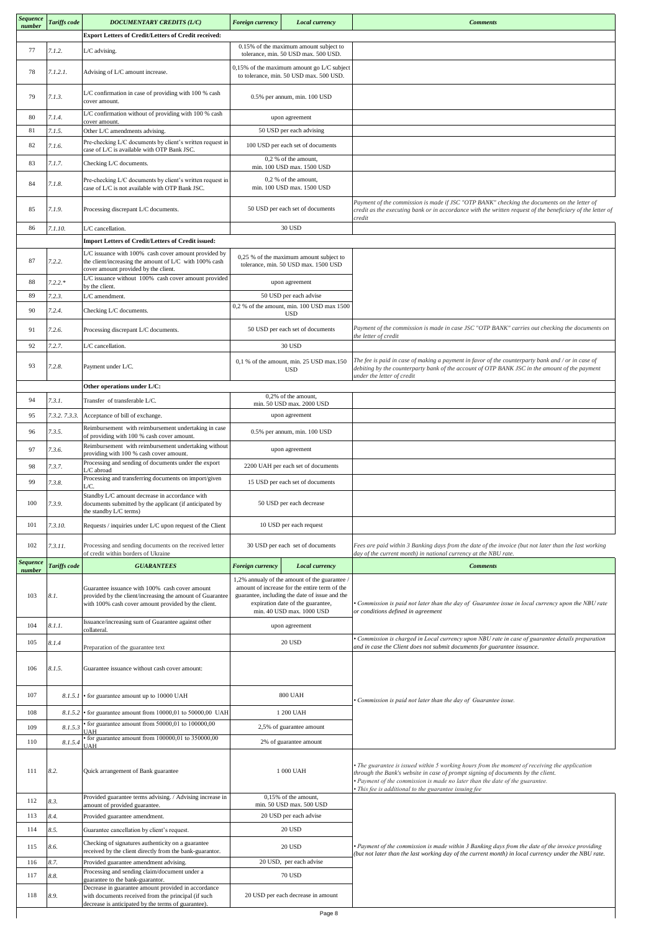| number                    | Tariffs code  | DOCUMENTARY CREDITS (L/C)                                                                                                                                          | <b>Foreign currency</b><br>Local currency                                               |                                                                                                                                                                                                                  | <b>Comments</b>                                                                                                                                                                                                                                                                                                            |
|---------------------------|---------------|--------------------------------------------------------------------------------------------------------------------------------------------------------------------|-----------------------------------------------------------------------------------------|------------------------------------------------------------------------------------------------------------------------------------------------------------------------------------------------------------------|----------------------------------------------------------------------------------------------------------------------------------------------------------------------------------------------------------------------------------------------------------------------------------------------------------------------------|
|                           |               | <b>Export Letters of Credit/Letters of Credit received:</b>                                                                                                        |                                                                                         |                                                                                                                                                                                                                  |                                                                                                                                                                                                                                                                                                                            |
| 77                        | 7.1.2.        | L/C advising.                                                                                                                                                      |                                                                                         | 0.15% of the maximum amount subject to<br>tolerance, min. 50 USD max. 500 USD.                                                                                                                                   |                                                                                                                                                                                                                                                                                                                            |
| 78                        | 7.1.2.1.      | Advising of L/C amount increase.                                                                                                                                   | $0,15%$ of the maximum amount go L/C subject<br>to tolerance, min. 50 USD max. 500 USD. |                                                                                                                                                                                                                  |                                                                                                                                                                                                                                                                                                                            |
| 79                        | 7.1.3.        | L/C confirmation in case of providing with 100 % cash<br>cover amount.                                                                                             |                                                                                         | 0.5% per annum, min. 100 USD                                                                                                                                                                                     |                                                                                                                                                                                                                                                                                                                            |
| 80                        | 7.1.4.        | L/C confirmation without of providing with 100 % cash                                                                                                              |                                                                                         | upon agreement                                                                                                                                                                                                   |                                                                                                                                                                                                                                                                                                                            |
| 81                        | 7.1.5.        | cover amount.<br>Other L/C amendments advising.                                                                                                                    |                                                                                         | 50 USD per each advising                                                                                                                                                                                         |                                                                                                                                                                                                                                                                                                                            |
| 82                        | 7.1.6.        | Pre-checking L/C documents by client's written request in                                                                                                          |                                                                                         | 100 USD per each set of documents                                                                                                                                                                                |                                                                                                                                                                                                                                                                                                                            |
|                           |               | case of L/C is available with OTP Bank JSC.                                                                                                                        |                                                                                         | 0.2 % of the amount.                                                                                                                                                                                             |                                                                                                                                                                                                                                                                                                                            |
| 83                        | 7.1.7.        | Checking L/C documents.                                                                                                                                            |                                                                                         | min. 100 USD max. 1500 USD                                                                                                                                                                                       |                                                                                                                                                                                                                                                                                                                            |
| 84                        | 7.1.8.        | Pre-checking L/C documents by client's written request in<br>case of L/C is not available with OTP Bank JSC.                                                       |                                                                                         | 0,2 % of the amount,<br>min. 100 USD max. 1500 USD                                                                                                                                                               |                                                                                                                                                                                                                                                                                                                            |
| 85                        | 7.1.9.        | Processing discrepant L/C documents.                                                                                                                               |                                                                                         | 50 USD per each set of documents                                                                                                                                                                                 | Payment of the commission is made if JSC "OTP BANK" checking the documents on the letter of<br>credit as the executing bank or in accordance with the written request of the beneficiary of the letter of<br>credit                                                                                                        |
| 86                        | 7.1.10.       | L/C cancellation.                                                                                                                                                  |                                                                                         | 30 USD                                                                                                                                                                                                           |                                                                                                                                                                                                                                                                                                                            |
|                           |               | Import Letters of Credit/Letters of Credit issued:                                                                                                                 |                                                                                         |                                                                                                                                                                                                                  |                                                                                                                                                                                                                                                                                                                            |
| 87                        | 7.2.2.        | L/C issuance with 100% cash cover amount provided by<br>the client/increasing the amount of L/C with 100% cash<br>cover amount provided by the client.             |                                                                                         | 0,25 % of the maximum amount subject to<br>tolerance, min. 50 USD max. 1500 USD                                                                                                                                  |                                                                                                                                                                                                                                                                                                                            |
| 88                        | $7.2.2.*$     | L/C issuance without 100% cash cover amount provided<br>by the client.                                                                                             |                                                                                         | upon agreement                                                                                                                                                                                                   |                                                                                                                                                                                                                                                                                                                            |
| 89                        | 7.2.3.        | L/C amendment.                                                                                                                                                     |                                                                                         | 50 USD per each advise                                                                                                                                                                                           |                                                                                                                                                                                                                                                                                                                            |
| 90                        | 7.2.4.        | Checking L/C documents.                                                                                                                                            |                                                                                         | 0,2 % of the amount, min. 100 USD max 1500<br><b>USD</b>                                                                                                                                                         |                                                                                                                                                                                                                                                                                                                            |
| 91                        | 7.2.6.        | Processing discrepant L/C documents.                                                                                                                               |                                                                                         | 50 USD per each set of documents                                                                                                                                                                                 | Payment of the commission is made in case JSC "OTP BANK" carries out checking the documents on<br>the letter of credit                                                                                                                                                                                                     |
| 92                        | 7.2.7.        | L/C cancellation.                                                                                                                                                  |                                                                                         | 30 USD                                                                                                                                                                                                           |                                                                                                                                                                                                                                                                                                                            |
| 93                        | 7.2.8.        | Payment under L/C.                                                                                                                                                 |                                                                                         | 0,1 % of the amount, min. 25 USD max.150<br><b>USD</b>                                                                                                                                                           | The fee is paid in case of making a payment in favor of the counterparty bank and $\sqrt{$ or in case of<br>debiting by the counterparty bank of the account of OTP BANK JSC in the amount of the payment<br>under the letter of credit                                                                                    |
|                           |               | Other operations under L/C:                                                                                                                                        |                                                                                         |                                                                                                                                                                                                                  |                                                                                                                                                                                                                                                                                                                            |
| 94                        | 7.3.1.        | Transfer of transferable L/C.                                                                                                                                      |                                                                                         | 0,2% of the amount,<br>min. 50 USD max. 2000 USD                                                                                                                                                                 |                                                                                                                                                                                                                                                                                                                            |
| 95                        | 7.3.2. 7.3.3. | Acceptance of bill of exchange.                                                                                                                                    |                                                                                         | upon agreement                                                                                                                                                                                                   |                                                                                                                                                                                                                                                                                                                            |
| 96                        | 7.3.5.        | Reimbursement with reimbursement undertaking in case                                                                                                               |                                                                                         | 0.5% per annum, min. 100 USD                                                                                                                                                                                     |                                                                                                                                                                                                                                                                                                                            |
|                           |               | of providing with 100 % cash cover amount.<br>Reimbursement with reimbursement undertaking without                                                                 |                                                                                         |                                                                                                                                                                                                                  |                                                                                                                                                                                                                                                                                                                            |
| 97                        | 7.3.6.        | providing with 100 % cash cover amount.                                                                                                                            | upon agreement                                                                          |                                                                                                                                                                                                                  |                                                                                                                                                                                                                                                                                                                            |
| 98                        | 7.3.7.        | Processing and sending of documents under the export<br>L/C abroad                                                                                                 |                                                                                         | 2200 UAH per each set of documents                                                                                                                                                                               |                                                                                                                                                                                                                                                                                                                            |
| 99                        | 7.3.8.        | Processing and transferring documents on import/given                                                                                                              |                                                                                         | 15 USD per each set of documents                                                                                                                                                                                 |                                                                                                                                                                                                                                                                                                                            |
| 100                       | 7.3.9.        | Standby L/C amount decrease in accordance with<br>documents submitted by the applicant (if anticipated by<br>the standby L/C terms)                                |                                                                                         | 50 USD per each decrease                                                                                                                                                                                         |                                                                                                                                                                                                                                                                                                                            |
| 101                       | 7.3.10.       | Requests / inquiries under L/C upon request of the Client                                                                                                          |                                                                                         | 10 USD per each request                                                                                                                                                                                          |                                                                                                                                                                                                                                                                                                                            |
| 102                       | 7.3.11.       | Processing and sending documents on the received letter<br>of credit within borders of Ukraine                                                                     |                                                                                         | 30 USD per each set of documents                                                                                                                                                                                 | Fees are paid within 3 Banking days from the date of the invoice (but not later than the last working<br>day of the current month) in national currency at the NBU rate.                                                                                                                                                   |
| <b>Sequence</b><br>number | Tariffs code  | <b>GUARANTEES</b>                                                                                                                                                  | Foreign currency                                                                        | Local currency                                                                                                                                                                                                   | <b>Comments</b>                                                                                                                                                                                                                                                                                                            |
| 103                       | 8.1.          | Guarantee issuance with 100% cash cover amount<br>provided by the client/increasing the amount of Guarantee<br>with 100% cash cover amount provided by the client. |                                                                                         | 1,2% annualy of the amount of the guarantee<br>amount of increase for the entire term of the<br>guarantee, including the date of issue and the<br>expiration date of the guarantee,<br>min. 40 USD max. 1000 USD | Commission is paid not later than the day of Guarantee issue in local currency upon the NBU rate<br>or conditions defined in agreement                                                                                                                                                                                     |
| 104                       | 8.1.1.        | Issuance/increasing sum of Guarantee against other<br>collateral.                                                                                                  |                                                                                         | upon agreement                                                                                                                                                                                                   |                                                                                                                                                                                                                                                                                                                            |
| 105                       | 8.1.4         |                                                                                                                                                                    |                                                                                         | <b>20 USD</b>                                                                                                                                                                                                    | Commission is charged in Local currency upon NBU rate in case of guarantee details preparation<br>and in case the Client does not submit documents for guarantee issuance.                                                                                                                                                 |
|                           |               | Preparation of the guarantee text                                                                                                                                  |                                                                                         |                                                                                                                                                                                                                  |                                                                                                                                                                                                                                                                                                                            |
| 106                       | 8.1.5.        | Guarantee issuance without cash cover amount:                                                                                                                      |                                                                                         |                                                                                                                                                                                                                  |                                                                                                                                                                                                                                                                                                                            |
| 107                       |               | 8.1.5.1 • for guarantee amount up to 10000 UAH                                                                                                                     |                                                                                         | <b>800 UAH</b>                                                                                                                                                                                                   | Commission is paid not later than the day of Guarantee issue.                                                                                                                                                                                                                                                              |
| 108                       | 8.1.5.2       | • for guarantee amount from 10000,01 to 50000,00 UAH                                                                                                               |                                                                                         | 1 200 UAH                                                                                                                                                                                                        |                                                                                                                                                                                                                                                                                                                            |
| 109                       | 8.1.5.3       | for guarantee amount from 50000,01 to 100000,00<br><b>IJAH</b>                                                                                                     |                                                                                         | 2,5% of guarantee amount                                                                                                                                                                                         |                                                                                                                                                                                                                                                                                                                            |
| 110                       | 8.1.5.4       | for guarantee amount from 100000,01 to 350000,00<br>UAH                                                                                                            |                                                                                         | 2% of guarantee amount                                                                                                                                                                                           |                                                                                                                                                                                                                                                                                                                            |
| 111                       | 8.2.          | Quick arrangement of Bank guarantee                                                                                                                                | 1 000 UAH                                                                               |                                                                                                                                                                                                                  | • The guarantee is issued within 5 working hours from the moment of receiving the application<br>through the Bank's website in case of prompt signing of documents by the client.<br>· Payment of the commission is made no later than the date of the guarantee.<br>· This fee is additional to the guarantee issuing fee |
| 112                       | 8.3.          | Provided guarantee terms advising. / Advising increase in<br>amount of provided guarantee.                                                                         |                                                                                         | 0,15% of the amount,<br>min. 50 USD max. 500 USD                                                                                                                                                                 |                                                                                                                                                                                                                                                                                                                            |
| 113                       | 8.4.          | Provided guarantee amendment.                                                                                                                                      |                                                                                         | 20 USD per each advise                                                                                                                                                                                           |                                                                                                                                                                                                                                                                                                                            |
| 114                       | 8.5.          | Guarantee cancellation by client's request.                                                                                                                        |                                                                                         | 20 USD                                                                                                                                                                                                           |                                                                                                                                                                                                                                                                                                                            |
|                           | 8.6.          | Checking of signatures authenticity on a guarantee                                                                                                                 |                                                                                         | 20 USD                                                                                                                                                                                                           | · Payment of the commission is made within 3 Banking days from the date of the invoice providing                                                                                                                                                                                                                           |
| 115                       |               | received by the client directly from the bank-guarantor.                                                                                                           |                                                                                         | 20 USD, per each advise                                                                                                                                                                                          | (but not later than the last working day of the current month) in local currency under the NBU rate.                                                                                                                                                                                                                       |
|                           |               |                                                                                                                                                                    |                                                                                         |                                                                                                                                                                                                                  |                                                                                                                                                                                                                                                                                                                            |
| 116<br>117                | 8.7.<br>8.8.  | Provided guarantee amendment advising.<br>Processing and sending claim/document under a                                                                            |                                                                                         | 70 USD                                                                                                                                                                                                           |                                                                                                                                                                                                                                                                                                                            |
| 118                       | 8.9.          | guarantee to the bank-guarantor.<br>Decrease in guarantee amount provided in accordance<br>with documents received from the principal (if such                     |                                                                                         | 20 USD per each decrease in amount                                                                                                                                                                               |                                                                                                                                                                                                                                                                                                                            |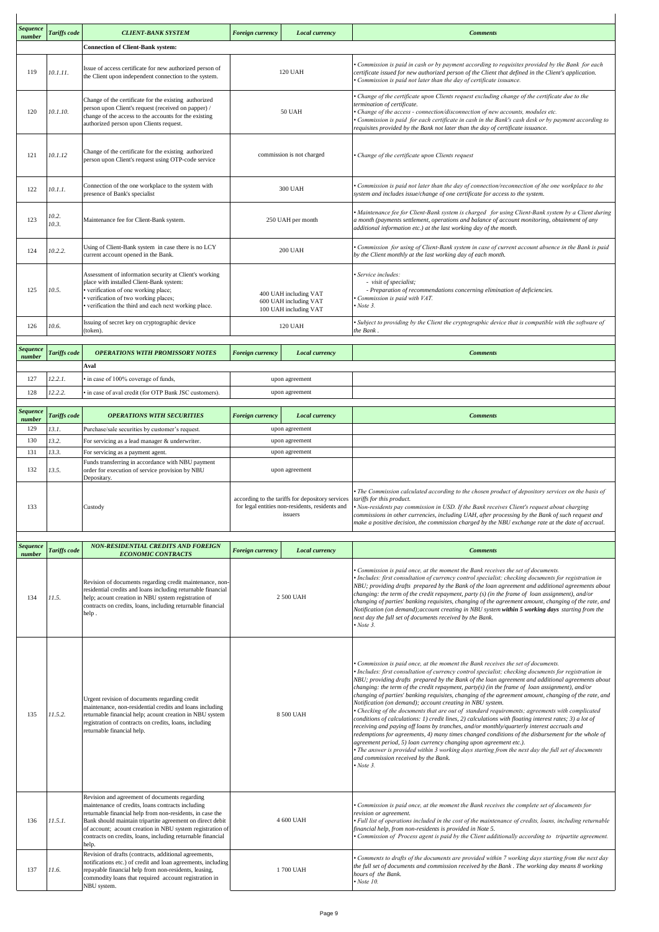| Sequence<br>number | Tariffs code   | <b>CLIENT-BANK SYSTEM</b>                                                                                                                                                                                                                                                                                                                                         | <b>Foreign currency</b> | <b>Local currency</b>                                                                                                                    | <b>Comments</b>                                                                                                                                                                                                                                                                                                                                                                                                                                                                                                                                                                                                                                                                                                                                                                                                                                                                                                                                                                                                                                                                                                                                                                                                      |
|--------------------|----------------|-------------------------------------------------------------------------------------------------------------------------------------------------------------------------------------------------------------------------------------------------------------------------------------------------------------------------------------------------------------------|-------------------------|------------------------------------------------------------------------------------------------------------------------------------------|----------------------------------------------------------------------------------------------------------------------------------------------------------------------------------------------------------------------------------------------------------------------------------------------------------------------------------------------------------------------------------------------------------------------------------------------------------------------------------------------------------------------------------------------------------------------------------------------------------------------------------------------------------------------------------------------------------------------------------------------------------------------------------------------------------------------------------------------------------------------------------------------------------------------------------------------------------------------------------------------------------------------------------------------------------------------------------------------------------------------------------------------------------------------------------------------------------------------|
|                    |                | <b>Connection of Client-Bank system:</b>                                                                                                                                                                                                                                                                                                                          |                         |                                                                                                                                          |                                                                                                                                                                                                                                                                                                                                                                                                                                                                                                                                                                                                                                                                                                                                                                                                                                                                                                                                                                                                                                                                                                                                                                                                                      |
| 119                | 10.1.11.       | Issue of access certificate for new authorized person of<br>the Client upon independent connection to the system.                                                                                                                                                                                                                                                 |                         | 120 UAH                                                                                                                                  | Commission is paid in cash or by payment according to requisites provided by the Bank for each<br>certificate issued for new authorized person of the Client that defined in the Client's application.<br>Commission is paid not later than the day of certificate issuance.                                                                                                                                                                                                                                                                                                                                                                                                                                                                                                                                                                                                                                                                                                                                                                                                                                                                                                                                         |
| 120                | 10.1.10.       | Change of the certificate for the existing authorized<br>person upon Client's request (received on papper) /<br>change of the access to the accounts for the existing<br>authorized person upon Clients request.                                                                                                                                                  |                         | <b>50 UAH</b>                                                                                                                            | Change of the certificate upon Clients request excluding change of the certificate due to the<br>termination of certificate.<br>· Change of the access - connection/disconnection of new accounts, modules etc.<br>Commission is paid for each certificate in cash in the Bank's cash desk or by payment according to<br>requisites provided by the Bank not later than the day of certificate issuance.                                                                                                                                                                                                                                                                                                                                                                                                                                                                                                                                                                                                                                                                                                                                                                                                             |
| 121                | 10.1.12        | Change of the certificate for the existing authorized<br>person upon Client's request using OTP-code service                                                                                                                                                                                                                                                      |                         | commission is not charged                                                                                                                | • Change of the certificate upon Clients request                                                                                                                                                                                                                                                                                                                                                                                                                                                                                                                                                                                                                                                                                                                                                                                                                                                                                                                                                                                                                                                                                                                                                                     |
| 122                | 10.1.1.        | Connection of the one workplace to the system with<br>presence of Bank's specialist                                                                                                                                                                                                                                                                               |                         | 300 UAH                                                                                                                                  | Commission is paid not later than the day of connection/reconnection of the one workplace to the<br>system and includes issue/change of one certificate for access to the system.                                                                                                                                                                                                                                                                                                                                                                                                                                                                                                                                                                                                                                                                                                                                                                                                                                                                                                                                                                                                                                    |
| 123                | 10.2.<br>10.3. | Maintenance fee for Client-Bank system.                                                                                                                                                                                                                                                                                                                           |                         | 250 UAH per month                                                                                                                        | Maintenance fee for Client-Bank system is charged for using Client-Bank system by a Client during<br>a month (payments settlement, operations and balance of account monitoring, obtainment of any<br>additional information etc.) at the last working day of the month.                                                                                                                                                                                                                                                                                                                                                                                                                                                                                                                                                                                                                                                                                                                                                                                                                                                                                                                                             |
| 124                | 10.2.2.        | Using of Client-Bank system in case there is no LCY<br>current account opened in the Bank.                                                                                                                                                                                                                                                                        |                         | <b>200 UAH</b>                                                                                                                           | Commission for using of Client-Bank system in case of current account absence in the Bank is paid<br>by the Client monthly at the last working day of each month.                                                                                                                                                                                                                                                                                                                                                                                                                                                                                                                                                                                                                                                                                                                                                                                                                                                                                                                                                                                                                                                    |
| 125                | 10.5.          | Assessment of information security at Client's working<br>place with installed Client-Bank system:<br>verification of one working place;<br>verification of two working places;<br>verification the third and each next working place.                                                                                                                            |                         | 400 UAH including VAT<br>600 UAH including VAT<br>100 UAH including VAT                                                                  | · Service includes:<br>- visit of specialist;<br>- Preparation of recommendations concerning elimination of deficiencies.<br>Commission is paid with VAT.<br>$\cdot$ Note 3.                                                                                                                                                                                                                                                                                                                                                                                                                                                                                                                                                                                                                                                                                                                                                                                                                                                                                                                                                                                                                                         |
| 126                | 10.6.          | Issuing of secret key on cryptographic device<br>(token).                                                                                                                                                                                                                                                                                                         |                         | 120 UAH                                                                                                                                  | Subject to providing by the Client the cryptographic device that is compatible with the software of<br>the Bank.                                                                                                                                                                                                                                                                                                                                                                                                                                                                                                                                                                                                                                                                                                                                                                                                                                                                                                                                                                                                                                                                                                     |
| Sequence<br>number | Tariffs code   | <b>OPERATIONS WITH PROMISSORY NOTES</b>                                                                                                                                                                                                                                                                                                                           | Foreign currency        | Local currency                                                                                                                           | <b>Comments</b>                                                                                                                                                                                                                                                                                                                                                                                                                                                                                                                                                                                                                                                                                                                                                                                                                                                                                                                                                                                                                                                                                                                                                                                                      |
|                    |                | Aval                                                                                                                                                                                                                                                                                                                                                              |                         |                                                                                                                                          |                                                                                                                                                                                                                                                                                                                                                                                                                                                                                                                                                                                                                                                                                                                                                                                                                                                                                                                                                                                                                                                                                                                                                                                                                      |
| 127                | 12.2.1.        | in case of 100% coverage of funds,                                                                                                                                                                                                                                                                                                                                |                         | upon agreement                                                                                                                           |                                                                                                                                                                                                                                                                                                                                                                                                                                                                                                                                                                                                                                                                                                                                                                                                                                                                                                                                                                                                                                                                                                                                                                                                                      |
| 128                | 12.2.2.        | in case of aval credit (for OTP Bank JSC customers).                                                                                                                                                                                                                                                                                                              |                         | upon agreement                                                                                                                           |                                                                                                                                                                                                                                                                                                                                                                                                                                                                                                                                                                                                                                                                                                                                                                                                                                                                                                                                                                                                                                                                                                                                                                                                                      |
| Sequence<br>number | Tariffs code   | <b>OPERATIONS WITH SECURITIES</b>                                                                                                                                                                                                                                                                                                                                 | Foreign currency        | <b>Local currency</b>                                                                                                                    | <b>Comments</b>                                                                                                                                                                                                                                                                                                                                                                                                                                                                                                                                                                                                                                                                                                                                                                                                                                                                                                                                                                                                                                                                                                                                                                                                      |
| 129                | 13.1.          | Purchase/sale securities by customer's request.                                                                                                                                                                                                                                                                                                                   |                         | upon agreement                                                                                                                           |                                                                                                                                                                                                                                                                                                                                                                                                                                                                                                                                                                                                                                                                                                                                                                                                                                                                                                                                                                                                                                                                                                                                                                                                                      |
| 130<br>131         | 13.2.<br>13.3. | For servicing as a lead manager & underwriter.<br>For servicing as a payment agent.                                                                                                                                                                                                                                                                               |                         | upon agreement<br>upon agreement                                                                                                         |                                                                                                                                                                                                                                                                                                                                                                                                                                                                                                                                                                                                                                                                                                                                                                                                                                                                                                                                                                                                                                                                                                                                                                                                                      |
| 132                | 13.5.          | Funds transferring in accordance with NBU payment<br>order for execution of service provision by NBU<br>Depositary.                                                                                                                                                                                                                                               |                         | upon agreement                                                                                                                           |                                                                                                                                                                                                                                                                                                                                                                                                                                                                                                                                                                                                                                                                                                                                                                                                                                                                                                                                                                                                                                                                                                                                                                                                                      |
| 133                |                | Custody                                                                                                                                                                                                                                                                                                                                                           |                         | according to the tariffs for depository services tariffs for this product.<br>for legal entities non-residents, residents and<br>issuers | The Commission calculated according to the chosen product of depository services on the basis of<br>• Non-residents pay commission in USD. If the Bank receives Client's request about charging<br>commissions in other currencies, including UAH, after processing by the Bank of such request and<br>make a positive decision, the commission charged by the NBU exchange rate at the date of accrual.                                                                                                                                                                                                                                                                                                                                                                                                                                                                                                                                                                                                                                                                                                                                                                                                             |
| Sequence           | Tariffs code   | NON-RESIDENTIAL CREDITS AND FOREIGN                                                                                                                                                                                                                                                                                                                               | <b>Foreign currency</b> | Local currency                                                                                                                           | <b>Comments</b>                                                                                                                                                                                                                                                                                                                                                                                                                                                                                                                                                                                                                                                                                                                                                                                                                                                                                                                                                                                                                                                                                                                                                                                                      |
| number<br>134      | 11.5.          | <b>ECONOMIC CONTRACTS</b><br>Revision of documents regarding credit maintenance, non-<br>residential credits and loans including returnable financial<br>help; acount creation in NBU system registration of<br>contracts on credits, loans, including returnable financial<br>help.                                                                              |                         | 2 500 UAH                                                                                                                                | Commission is paid once, at the moment the Bank receives the set of documents.<br>Includes: first consultation of currency control specialist; checking documents for registration in<br>NBU; providing drafts prepared by the Bank of the loan agreement and additional agreements about<br>changing: the term of the credit repayment, party $(s)$ (in the frame of loan assignment), and/or<br>changing of parties' banking requisites, changing of the agreement amount, changing of the rate, and<br>Notification (on demand); account creating in NBU system within 5 working days starting from the<br>next day the full set of documents received by the Bank.<br>$\cdot$ Note 3.                                                                                                                                                                                                                                                                                                                                                                                                                                                                                                                            |
| 135                | 11.5.2.        | Urgent revision of documents regarding credit<br>maintenance, non-residential credits and loans including<br>returnable financial help; acount creation in NBU system<br>registration of contracts on credits, loans, including<br>returnable financial help.                                                                                                     | 8 500 UAH               |                                                                                                                                          | Commission is paid once, at the moment the Bank receives the set of documents.<br>Includes: first consultation of currency control specialist; checking documents for registration in<br>NBU; providing drafts prepared by the Bank of the loan agreement and additional agreements about<br>changing: the term of the credit repayment, party(s) (in the frame of loan assignment), and/or<br>changing of parties' banking requisites, changing of the agreement amount, changing of the rate, and<br>Notification (on demand); account creating in NBU system.<br>• Checking of the documents that are out of standard requirements; agreements with complicated<br>conditions of calculations: 1) credit lines, 2) calculations with floating interest rates; 3) a lot of<br>receiving and paying off loans by tranches, and/or monthly/quarterly interest accruals and<br>redemptions for agreements, 4) many times changed conditions of the disbursement for the whole of<br>agreement period, 5) loan currency changing upon agreement etc.).<br>The answer is provided within 3 working days starting from the next day the full set of documents<br>and commission received by the Bank.<br>$\cdot$ Note 3. |
| 136                | 11.5.1.        | Revision and agreement of documents regarding<br>maintenance of credits, loans contracts including<br>returnable financial help from non-residents, in case the<br>Bank should maintain tripartite agreement on direct debit<br>of account; acount creation in NBU system registration of<br>contracts on credits, loans, including returnable financial<br>help. |                         | 4 600 UAH                                                                                                                                | Commission is paid once, at the moment the Bank receives the complete set of documents for<br>revision or agreement.<br>• Full list of operations included in the cost of the maintenance of credits, loans, including returnable<br>financial help, from non-residents is provided in Note 5.<br>Commission of Process agent is paid by the Client additionally according to tripartite agreement.                                                                                                                                                                                                                                                                                                                                                                                                                                                                                                                                                                                                                                                                                                                                                                                                                  |
| 137                | 11.6.          | Revision of drafts (contracts, additional agreements,<br>notifications etc.) of credit and loan agreements, including<br>repayable financial help from non-residents, leasing,<br>commodity loans that required account registration in<br>NBU system.                                                                                                            |                         | 1700 UAH                                                                                                                                 | Comments to drafts of the documents are provided within 7 working days starting from the next day<br>the full set of documents and commission received by the Bank . The working day means 8 working<br>hours of the Bank.<br>$\cdot$ Note 10.                                                                                                                                                                                                                                                                                                                                                                                                                                                                                                                                                                                                                                                                                                                                                                                                                                                                                                                                                                       |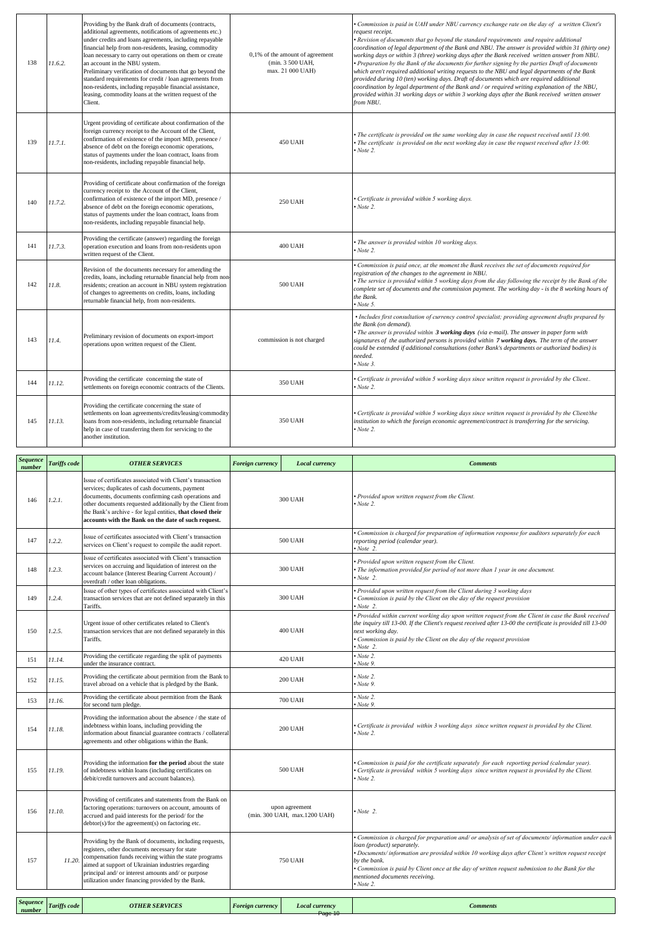| 138 | 11.6.2. | Providing by the Bank draft of documents (contracts,<br>additional agreements, notifications of agreements etc.)<br>under credits and loans agreements, including repayable<br>financial help from non-residents, leasing, commodity<br>loan necessary to carry out operations on them or create<br>an account in the NBU system.<br>Preliminary verification of documents that go beyond the<br>standard requirements for credit / loan agreements from<br>non-residents, including repayable financial assistance,<br>leasing, commodity loans at the written request of the<br>Client. | 0,1% of the amount of agreement<br>(min. 3 500 UAH,<br>max. 21 000 UAH) | Commission is paid in UAH under NBU currency exchange rate on the day of a written Client's<br>request receipt.<br>• Revision of documents that go beyond the standard requirements and require additional<br>coordination of legal department of the Bank and NBU. The answer is provided within 31 (thirty one)<br>working days or within 3 (three) working days after the Bank received written answer from NBU.<br>• Preparation by the Bank of the documents for further signing by the parties Draft of documents<br>which aren't required additional writing requests to the NBU and legal departments of the Bank<br>provided during 10 (ten) working days. Draft of documents which are required additional<br>coordination by legal department of the Bank and / or required writing explanation of the NBU,<br>provided within 31 working days or within 3 working days after the Bank received written answer<br>from NBU. |
|-----|---------|-------------------------------------------------------------------------------------------------------------------------------------------------------------------------------------------------------------------------------------------------------------------------------------------------------------------------------------------------------------------------------------------------------------------------------------------------------------------------------------------------------------------------------------------------------------------------------------------|-------------------------------------------------------------------------|----------------------------------------------------------------------------------------------------------------------------------------------------------------------------------------------------------------------------------------------------------------------------------------------------------------------------------------------------------------------------------------------------------------------------------------------------------------------------------------------------------------------------------------------------------------------------------------------------------------------------------------------------------------------------------------------------------------------------------------------------------------------------------------------------------------------------------------------------------------------------------------------------------------------------------------|
| 139 | 11.7.1. | Urgent providing of certificate about confirmation of the<br>foreign currency receipt to the Account of the Client,<br>confirmation of existence of the import MD, presence /<br>absence of debt on the foreign economic operations,<br>status of payments under the loan contract, loans from<br>non-residents, including repayable financial help.                                                                                                                                                                                                                                      | <b>450 UAH</b>                                                          | The certificate is provided on the same working day in case the request received until 13:00.<br>The certificate is provided on the next working day in case the request received after 13:00.<br>Note 2.                                                                                                                                                                                                                                                                                                                                                                                                                                                                                                                                                                                                                                                                                                                              |
| 140 | 11.7.2. | Providing of certificate about confirmation of the foreign<br>currency receipt to the Account of the Client,<br>confirmation of existence of the import MD, presence /<br>absence of debt on the foreign economic operations,<br>status of payments under the loan contract, loans from<br>non-residents, including repayable financial help.                                                                                                                                                                                                                                             | <b>250 UAH</b>                                                          | Certificate is provided within 5 working days.<br>Note 2.                                                                                                                                                                                                                                                                                                                                                                                                                                                                                                                                                                                                                                                                                                                                                                                                                                                                              |
| 141 | 11.7.3. | Providing the certificate (answer) regarding the foreign<br>operation execution and loans from non-residents upon<br>written request of the Client.                                                                                                                                                                                                                                                                                                                                                                                                                                       | <b>400 UAH</b>                                                          | • The answer is provided within 10 working days.<br>Note 2.                                                                                                                                                                                                                                                                                                                                                                                                                                                                                                                                                                                                                                                                                                                                                                                                                                                                            |
| 142 | 11.8.   | Revision of the documents necessary for amending the<br>credits, loans, including returnable financial help from non-<br>residents; creation an account in NBU system registration<br>of changes to agreements on credits, loans, including<br>returnable financial help, from non-residents.                                                                                                                                                                                                                                                                                             | 500 UAH                                                                 | Commission is paid once, at the moment the Bank receives the set of documents required for<br>registration of the changes to the agreement in NBU.<br>The service is provided within 5 working days from the day following the receipt by the Bank of the<br>complete set of documents and the commission payment. The working day - is the 8 working hours of<br>the Bank.<br>Note 5.                                                                                                                                                                                                                                                                                                                                                                                                                                                                                                                                                 |
| 143 | 11.4.   | Preliminary revision of documents on export-import<br>operations upon written request of the Client.                                                                                                                                                                                                                                                                                                                                                                                                                                                                                      | commission is not charged                                               | • Includes first consultation of currency control specialist; providing agreement drafts prepared by<br>the Bank (on demand).<br>• The answer is provided within 3 working days (via e-mail). The answer in paper form with<br>signatures of the authorized persons is provided within 7 working days. The term of the answer<br>could be extended if additional consultations (other Bank's departments or authorized bodies) is<br>needed.<br>Note 3.                                                                                                                                                                                                                                                                                                                                                                                                                                                                                |
| 144 | 11.12.  | Providing the certificate concerning the state of<br>settlements on foreign economic contracts of the Clients.                                                                                                                                                                                                                                                                                                                                                                                                                                                                            | 350 UAH                                                                 | Certificate is provided within 5 working days since written request is provided by the Client<br>Note 2.                                                                                                                                                                                                                                                                                                                                                                                                                                                                                                                                                                                                                                                                                                                                                                                                                               |
| 145 | 11.13.  | Providing the certificate concerning the state of<br>settlements on loan agreements/credits/leasing/commodity<br>loans from non-residents, including returnable financial<br>help in case of transferring them for servicing to the<br>another institution.                                                                                                                                                                                                                                                                                                                               | 350 UAH                                                                 | Certificate is provided within 5 working days since written request is provided by the Client/the<br>institution to which the foreign economic agreement/contract is transferring for the servicing.<br>Note 2.                                                                                                                                                                                                                                                                                                                                                                                                                                                                                                                                                                                                                                                                                                                        |

| <b>Sequence</b><br>number | <b>Tariffs code</b> | <b>OTHER SERVICES</b>                                                                                                                                                                                                                                                                                                                                  | <b>Foreign currency</b><br><b>Local currency</b> |                | <b>Comments</b>                                                                                                                                                                                                                                                                                                                                                                                                 |  |
|---------------------------|---------------------|--------------------------------------------------------------------------------------------------------------------------------------------------------------------------------------------------------------------------------------------------------------------------------------------------------------------------------------------------------|--------------------------------------------------|----------------|-----------------------------------------------------------------------------------------------------------------------------------------------------------------------------------------------------------------------------------------------------------------------------------------------------------------------------------------------------------------------------------------------------------------|--|
| 146                       | 1.2.1.              | Issue of certificates associated with Client's transaction<br>services; duplicates of cash documents, payment<br>documents, documents confirming cash operations and<br>other documents requested additionally by the Client from<br>the Bank's archive - for legal entities, that closed their<br>accounts with the Bank on the date of such request. |                                                  | 300 UAH        | · Provided upon written request from the Client.<br>$\cdot$ Note 2.                                                                                                                                                                                                                                                                                                                                             |  |
| 147                       | 1.2.2.              | Issue of certificates associated with Client's transaction<br>services on Client's request to compile the audit report.                                                                                                                                                                                                                                |                                                  | <b>500 UAH</b> | Commission is charged for preparation of information response for auditors separately for each<br>reporting period (calendar year).<br>Now 2.                                                                                                                                                                                                                                                                   |  |
| 148                       | 1.2.3.              | Issue of certificates associated with Client's transaction<br>services on accruing and liquidation of interest on the<br>account balance (Interest Bearing Current Account) /<br>overdraft / other loan obligations.                                                                                                                                   |                                                  | 300 UAH        | · Provided upon written request from the Client.<br>• The information provided for period of not more than 1 year in one document.<br>$\cdot$ Note 2.                                                                                                                                                                                                                                                           |  |
| 149                       | 1.2.4.              | Issue of other types of certificates associated with Client's<br>transaction services that are not defined separately in this<br>Tariffs.                                                                                                                                                                                                              |                                                  | 300 UAH        | Provided upon written request from the Client during 3 working days<br>Commission is paid by the Client on the day of the request provision<br>Note 2.                                                                                                                                                                                                                                                          |  |
| 150                       | 1.2.5.              | Urgent issue of other certificates related to Client's<br>transaction services that are not defined separately in this<br>Tariffs.                                                                                                                                                                                                                     | <b>400 UAH</b>                                   |                | • Provided within current working day upon written request from the Client in case the Bank received<br>the inquiry till 13-00. If the Client's request received after 13-00 the certificate is provided till 13-00<br>next working day.<br>Commission is paid by the Client on the day of the request provision<br>$\cdot$ Note 2.                                                                             |  |
| 151                       | 11.14.              | Providing the certificate regarding the split of payments<br>under the insurance contract.                                                                                                                                                                                                                                                             |                                                  | 420 UAH        | $\cdot$ Note 2.<br>$v$ Note 9.                                                                                                                                                                                                                                                                                                                                                                                  |  |
| 152                       | 11.15.              | Providing the certificate about permition from the Bank to<br>travel abroad on a vehicle that is pledged by the Bank.                                                                                                                                                                                                                                  |                                                  | <b>200 UAH</b> | $\cdot$ Note 2.<br>Note 9.                                                                                                                                                                                                                                                                                                                                                                                      |  |
| 153                       | 11.16.              | Providing the certificate about permition from the Bank<br>for second turn pledge.                                                                                                                                                                                                                                                                     |                                                  | 700 UAH        | $\cdot$ Note 2.<br>$\cdot$ Note 9.                                                                                                                                                                                                                                                                                                                                                                              |  |
| 154                       | 11.18.              | Providing the information about the absence / the state of<br>indebtness within loans, including providing the<br>information about financial guarantee contracts / collateral<br>agreements and other obligations within the Bank.                                                                                                                    |                                                  | <b>200 UAH</b> | Certificate is provided within 3 working days since written request is provided by the Client.<br>Note 2.                                                                                                                                                                                                                                                                                                       |  |
| 155                       | 11.19.              | Providing the information for the period about the state<br>of indebtness within loans (including certificates on<br>debit/credit turnovers and account balances).                                                                                                                                                                                     | <b>500 UAH</b>                                   |                | Commission is paid for the certificate separately for each reporting period (calendar year).<br>Certificate is provided within 5 working days since written request is provided by the Client.<br>Note 2.                                                                                                                                                                                                       |  |
| 156                       | 11.10.              | Providing of certificates and statements from the Bank on<br>factoring operations: turnovers on account, amounts of<br>accrued and paid interests for the period/for the<br>$debtor(s)/for$ the agreement(s) on factoring etc.                                                                                                                         | upon agreement<br>(min. 300 UAH, max.1200 UAH)   |                | $\cdot$ Note 2.                                                                                                                                                                                                                                                                                                                                                                                                 |  |
| 157                       | 11.20.              | Providing by the Bank of documents, including requests,<br>registers, other documents necessary for state<br>compensation funds receiving within the state programs<br>aimed at support of Ukrainian industries regarding<br>principal and/ or interest amounts and/ or purpose<br>utilization under financing provided by the Bank.                   | <b>750 UAH</b>                                   |                | • Commission is charged for preparation and/ or analysis of set of documents/ information under each<br>loan (product) separately.<br>Documents/information are provided within 10 working days after Client's written request receipt<br>by the bank.<br>• Commission is paid by Client once at the day of written request submission to the Bank for the<br>mentioned documents receiving.<br>$\cdot$ Note 2. |  |
| <b>Sequence</b>           |                     |                                                                                                                                                                                                                                                                                                                                                        |                                                  |                |                                                                                                                                                                                                                                                                                                                                                                                                                 |  |

|      | -----------<br>number | Tarifts<br>e code | <b>OTHER SERVICES</b> | Foreign currency | <b>Local currency</b> | <i>comments</i> |  |  |  |
|------|-----------------------|-------------------|-----------------------|------------------|-----------------------|-----------------|--|--|--|
|      |                       |                   |                       |                  | Dov<br>.              |                 |  |  |  |
| -auc |                       |                   |                       |                  |                       |                 |  |  |  |

 $\mathcal{L}_{\mathcal{A}}$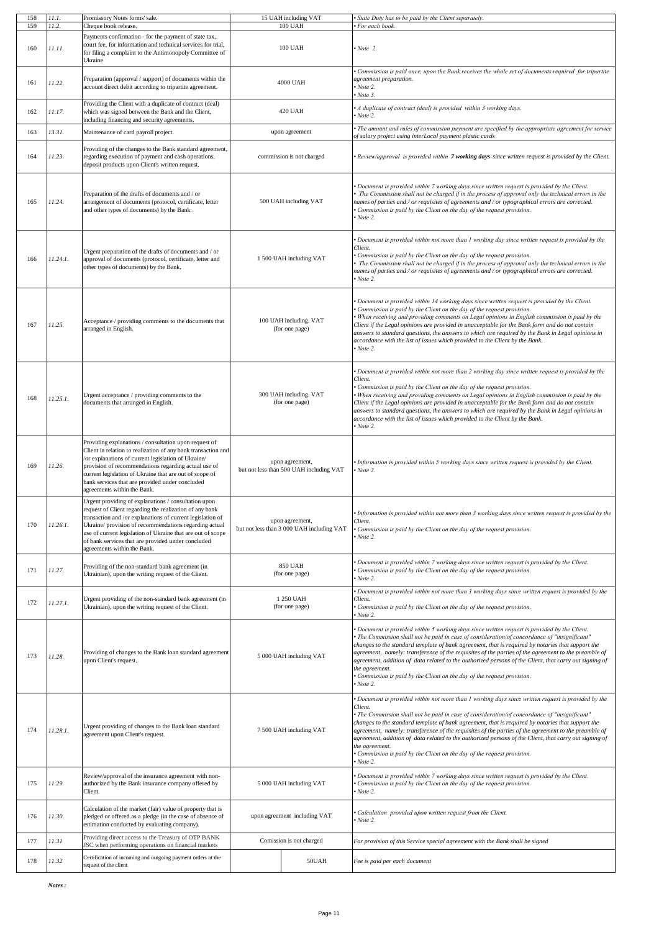| 158 | 11.1.                                                                                   | Promissory Notes forms' sale.                                                                                                                                                                                                                                                                                                                                                               | 15 UAH including VAT                                         |                         | State Duty has to be paid by the Client separately.                                                                                                                                                                                                                                                                                                                                                                                                                                                                                                                                                                                       |
|-----|-----------------------------------------------------------------------------------------|---------------------------------------------------------------------------------------------------------------------------------------------------------------------------------------------------------------------------------------------------------------------------------------------------------------------------------------------------------------------------------------------|--------------------------------------------------------------|-------------------------|-------------------------------------------------------------------------------------------------------------------------------------------------------------------------------------------------------------------------------------------------------------------------------------------------------------------------------------------------------------------------------------------------------------------------------------------------------------------------------------------------------------------------------------------------------------------------------------------------------------------------------------------|
| 159 | 11.2.                                                                                   | Cheque book release.                                                                                                                                                                                                                                                                                                                                                                        | <b>100 UAH</b>                                               |                         | For each book.                                                                                                                                                                                                                                                                                                                                                                                                                                                                                                                                                                                                                            |
| 160 | 11.11.                                                                                  | Payments confirmation - for the payment of state tax,<br>court fee, for information and technical services for trial,<br>for filing a complaint to the Antimonopoly Committee of<br>Ukraine                                                                                                                                                                                                 | 100 UAH                                                      |                         | Note 2.                                                                                                                                                                                                                                                                                                                                                                                                                                                                                                                                                                                                                                   |
| 161 | 11.22.                                                                                  | Preparation (approval / support) of documents within the<br>account direct debit according to tripartite agreement.                                                                                                                                                                                                                                                                         | 4000 UAH                                                     |                         | Commission is paid once, upon the Bank receives the whole set of documents required for tripartite<br>agreement preparation.<br>Note 2.<br>Note 3.                                                                                                                                                                                                                                                                                                                                                                                                                                                                                        |
| 162 | 11.17.                                                                                  | Providing the Client with a duplicate of contract (deal)<br>which was signed between the Bank and the Client,<br>ncluding financing and security agreements.                                                                                                                                                                                                                                | 420 UAH                                                      |                         | A duplicate of contract (deal) is provided within 3 working days.<br>Note 2.                                                                                                                                                                                                                                                                                                                                                                                                                                                                                                                                                              |
| 163 | 13.31.                                                                                  | Maintenance of card payroll project.                                                                                                                                                                                                                                                                                                                                                        | upon agreement                                               |                         | The amount and rules of commission payment are specified by the appropriate agreement for service<br>of salary project using interLocal payment plastic cards                                                                                                                                                                                                                                                                                                                                                                                                                                                                             |
| 164 | 11.23.                                                                                  | Providing of the changes to the Bank standard agreement,<br>regarding execution of payment and cash operations,<br>deposit products upon Client's written request.                                                                                                                                                                                                                          | commission is not charged                                    |                         | Review/approval is provided within 7 working days since written request is provided by the Client.                                                                                                                                                                                                                                                                                                                                                                                                                                                                                                                                        |
| 165 | 11.24.                                                                                  | Preparation of the drafts of documents and / or<br>arrangement of documents (protocol, certificate, letter<br>and other types of documents) by the Bank.                                                                                                                                                                                                                                    | 500 UAH including VAT                                        |                         | Document is provided within 7 working days since written request is provided by the Client.<br>The Commission shall not be charged if in the process of approval only the technical errors in the<br>names of parties and / or requisites of agreements and / or typographical errors are corrected.<br>Commission is paid by the Client on the day of the request provision.<br>Note 2.                                                                                                                                                                                                                                                  |
| 166 | 11.24.1.                                                                                | Urgent preparation of the drafts of documents and / or<br>approval of documents (protocol, certificate, letter and<br>other types of documents) by the Bank.                                                                                                                                                                                                                                |                                                              | 1 500 UAH including VAT | Document is provided within not more than 1 working day since written request is provided by the<br>Client.<br>Commission is paid by the Client on the day of the request provision.<br>The Commission shall not be charged if in the process of approval only the technical errors in the<br>names of parties and / or requisites of agreements and / or typographical errors are corrected.<br>Note 2.                                                                                                                                                                                                                                  |
| 167 | Acceptance / providing comments to the documents that<br>11.25.<br>arranged in English. |                                                                                                                                                                                                                                                                                                                                                                                             | 100 UAH including. VAT<br>(for one page)                     |                         | Document is provided within 14 working days since written request is provided by the Client.<br>Commission is paid by the Client on the day of the request provision.<br>When receiving and providing comments on Legal opinions in English commission is paid by the<br>Client if the Legal opinions are provided in unacceptable for the Bank form and do not contain<br>answers to standard questions, the answers to which are required by the Bank in Legal opinions in<br>accordance with the list of issues which provided to the Client by the Bank.<br>Note 2.                                                                   |
| 168 | 11.25.1.                                                                                | Urgent acceptance / providing comments to the<br>documents that arranged in English.                                                                                                                                                                                                                                                                                                        | 300 UAH including. VAT<br>(for one page)                     |                         | Document is provided within not more than 2 working day since written request is provided by the<br>Client.<br>Commission is paid by the Client on the day of the request provision.<br>When receiving and providing comments on Legal opinions in English commission is paid by the<br>Client if the Legal opinions are provided in unacceptable for the Bank form and do not contain<br>answers to standard questions, the answers to which are required by the Bank in Legal opinions in<br>accordance with the list of issues which provided to the Client by the Bank.<br>Note 2.                                                    |
| 169 | 11.26.                                                                                  | Providing explanations / consultation upon request of<br>Client in relation to realization of any bank transaction and<br>or explanations of current legislation of Ukraine/<br>provision of recommendations regarding actual use of<br>current legislation of Ukraine that are out of scope of<br>bank services that are provided under concluded<br>agreements within the Bank.           | upon agreement,<br>but not less than 500 UAH including VAT   |                         | Information is provided within 5 working days since written request is provided by the Client.<br>Note 2.                                                                                                                                                                                                                                                                                                                                                                                                                                                                                                                                 |
| 170 | 11.26.1.                                                                                | Urgent providing of explanations / consultation upon<br>request of Client regarding the realization of any bank<br>transaction and /or explanations of current legislation of<br>Ukraine/ provision of recommendations regarding actual<br>use of current legislation of Ukraine that are out of scope<br>of bank services that are provided under concluded<br>agreements within the Bank. | upon agreement,<br>but not less than 3 000 UAH including VAT |                         | Information is provided within not more than 3 working days since written request is provided by the<br>Client.<br>Commission is paid by the Client on the day of the request provision.<br>Note 2.                                                                                                                                                                                                                                                                                                                                                                                                                                       |
| 171 | 11.27.                                                                                  | Providing of the non-standard bank agreement (in<br>Ukrainian), upon the writing request of the Client.                                                                                                                                                                                                                                                                                     | <b>850 UAH</b><br>(for one page)                             |                         | Document is provided within 7 working days since written request is provided by the Client.<br>Commission is paid by the Client on the day of the request provision.<br>Note 2.                                                                                                                                                                                                                                                                                                                                                                                                                                                           |
| 172 | 11.27.1.                                                                                | Urgent providing of the non-standard bank agreement (in<br>Ukrainian), upon the writing request of the Client.                                                                                                                                                                                                                                                                              | 1 250 UAH<br>(for one page)                                  |                         | Document is provided within not more than 3 working days since written request is provided by the<br>Client.<br>Commission is paid by the Client on the day of the request provision.<br>Note 2.                                                                                                                                                                                                                                                                                                                                                                                                                                          |
| 173 | 11.28.                                                                                  | Providing of changes to the Bank loan standard agreement<br>upon Client's request.                                                                                                                                                                                                                                                                                                          | 5 000 UAH including VAT                                      |                         | Document is provided within 5 working days since written request is provided by the Client.<br>"The Commission shall not be paid in case of consideration/of concordance of "insignificant"<br>changes to the standard template of bank agreement, that is required by notaries that support the<br>agreement, namely: transference of the requisites of the parties of the agreement to the preamble of<br>agreement, addition of data related to the authorized persons of the Client, that carry out signing of<br>the agreement.<br>Commission is paid by the Client on the day of the request provision.<br>Note 2.                  |
| 174 | 11.28.1.                                                                                | Urgent providing of changes to the Bank loan standard<br>agreement upon Client's request.                                                                                                                                                                                                                                                                                                   | 7 500 UAH including VAT                                      |                         | Document is provided within not more than 1 working days since written request is provided by the<br>Client.<br>"The Commission shall not be paid in case of consideration/of concordance of "insignificant"<br>changes to the standard template of bank agreement, that is required by notaries that support the<br>agreement, namely: transference of the requisites of the parties of the agreement to the preamble of<br>agreement, addition of data related to the authorized persons of the Client, that carry out signing of<br>the agreement.<br>Commission is paid by the Client on the day of the request provision.<br>Note 2. |
| 175 | 11.29.                                                                                  | Review/approval of the insurance agreement with non-<br>authorized by the Bank insurance company offered by<br>Client.                                                                                                                                                                                                                                                                      | 5 000 UAH including VAT                                      |                         | Document is provided within 7 working days since written request is provided by the Client.<br>Commission is paid by the Client on the day of the request provision.<br>Note 2.                                                                                                                                                                                                                                                                                                                                                                                                                                                           |
| 176 | 11.30.                                                                                  | Calculation of the market (fair) value of property that is<br>pledged or offered as a pledge (in the case of absence of<br>estimation conducted by evaluating company).                                                                                                                                                                                                                     | upon agreement including VAT                                 |                         | Calculation provided upon written request from the Client.<br>Note 2.                                                                                                                                                                                                                                                                                                                                                                                                                                                                                                                                                                     |
| 177 | 11.31                                                                                   | Providing direct access to the Treasury of OTP BANK<br>ISC when performing operations on financial markets                                                                                                                                                                                                                                                                                  | Comission is not charged                                     |                         | For provision of this Service special agreement with the Bank shall be signed                                                                                                                                                                                                                                                                                                                                                                                                                                                                                                                                                             |
| 178 | 11.32                                                                                   | Certification of incoming and outgoing payment orders at the<br>equest of the client                                                                                                                                                                                                                                                                                                        |                                                              | 50UAH                   | Fee is paid per each document                                                                                                                                                                                                                                                                                                                                                                                                                                                                                                                                                                                                             |